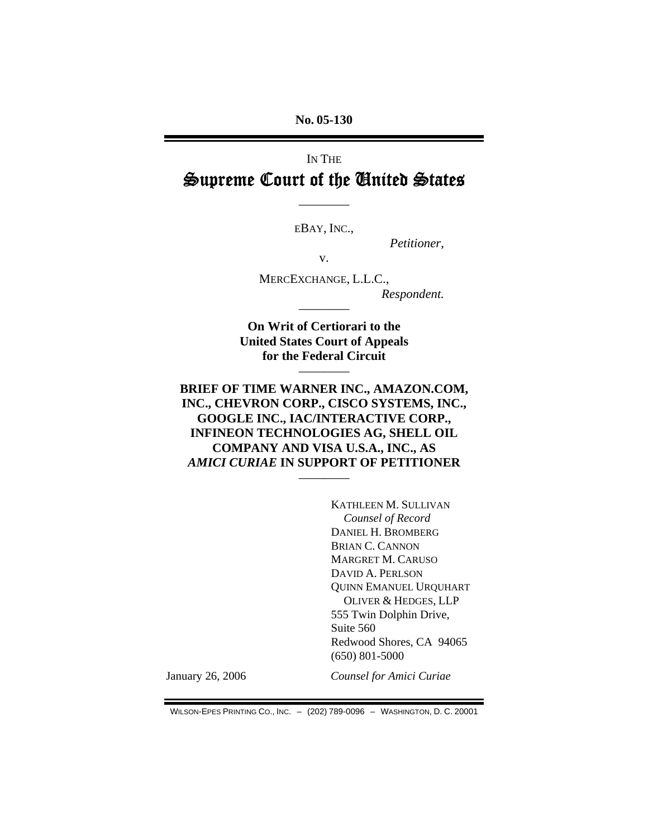**No. 05-130** 

# IN THE Supreme Court of the United States

EBAY, INC.,

————

*Petitioner*,

v.

MERCEXCHANGE, L.L.C., *Respondent.*

**On Writ of Certiorari to the United States Court of Appeals for the Federal Circuit** 

————

————

**BRIEF OF TIME WARNER INC., AMAZON.COM, INC., CHEVRON CORP., CISCO SYSTEMS, INC., GOOGLE INC., IAC/INTERACTIVE CORP., INFINEON TECHNOLOGIES AG, SHELL OIL COMPANY AND VISA U.S.A., INC., AS**  *AMICI CURIAE* **IN SUPPORT OF PETITIONER**

————

KATHLEEN M. SULLIVAN *Counsel of Record*  DANIEL H. BROMBERG BRIAN C. CANNON MARGRET M. CARUSO DAVID A. PERLSON QUINN EMANUEL URQUHART OLIVER & HEDGES, LLP 555 Twin Dolphin Drive, Suite 560 Redwood Shores, CA 94065 (650) 801-5000

January 26, 2006 *Counsel for Amici Curiae*

WILSON-EPES PRINTING CO., INC. – (202) 789-0096 – WASHINGTON, D. C. 20001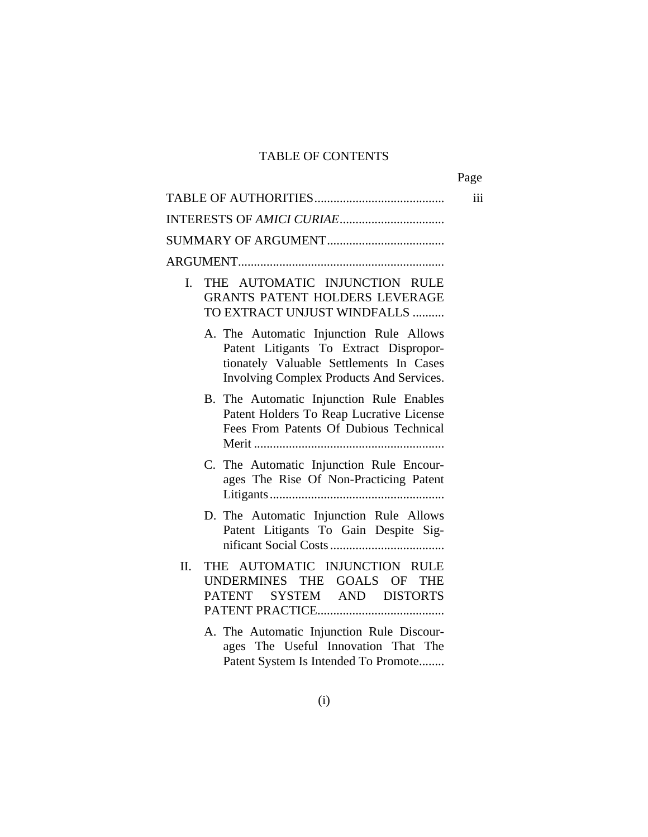## TABLE OF CONTENTS

|                                                                                                                                                                                 | Page |
|---------------------------------------------------------------------------------------------------------------------------------------------------------------------------------|------|
|                                                                                                                                                                                 | iii  |
|                                                                                                                                                                                 |      |
|                                                                                                                                                                                 |      |
|                                                                                                                                                                                 |      |
| THE AUTOMATIC INJUNCTION RULE<br>L.<br><b>GRANTS PATENT HOLDERS LEVERAGE</b><br>TO EXTRACT UNJUST WINDFALLS                                                                     |      |
| A. The Automatic Injunction Rule Allows<br>Patent Litigants To Extract Dispropor-<br>tionately Valuable Settlements In Cases<br><b>Involving Complex Products And Services.</b> |      |
| B. The Automatic Injunction Rule Enables<br>Patent Holders To Reap Lucrative License<br>Fees From Patents Of Dubious Technical                                                  |      |
| C. The Automatic Injunction Rule Encour-<br>ages The Rise Of Non-Practicing Patent                                                                                              |      |
| D. The Automatic Injunction Rule Allows<br>Patent Litigants To Gain Despite Sig-                                                                                                |      |
| THE AUTOMATIC INJUNCTION RULE<br>II.<br>UNDERMINES THE GOALS OF THE<br>PATENT SYSTEM AND DISTORTS                                                                               |      |
| A. The Automatic Injunction Rule Discour-<br>ages The Useful Innovation That The<br>Patent System Is Intended To Promote                                                        |      |

(i)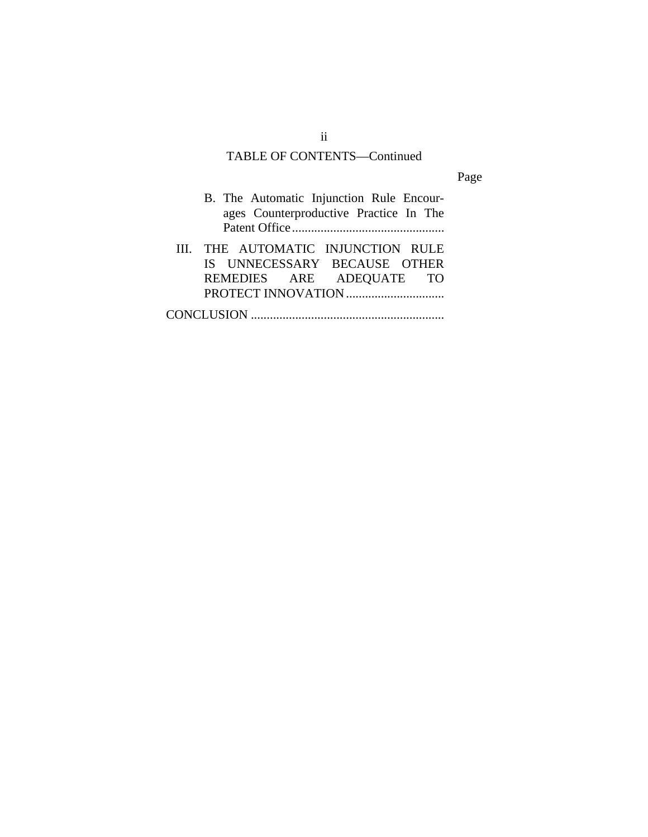## TABLE OF CONTENTS—Continued

Page

| B. The Automatic Injunction Rule Encour-<br>ages Counterproductive Practice In The |
|------------------------------------------------------------------------------------|
| III. THE AUTOMATIC INJUNCTION RULE                                                 |
| IS UNNECESSARY BECAUSE OTHER                                                       |
| REMEDIES ARE ADEQUATE TO                                                           |
|                                                                                    |
|                                                                                    |

ii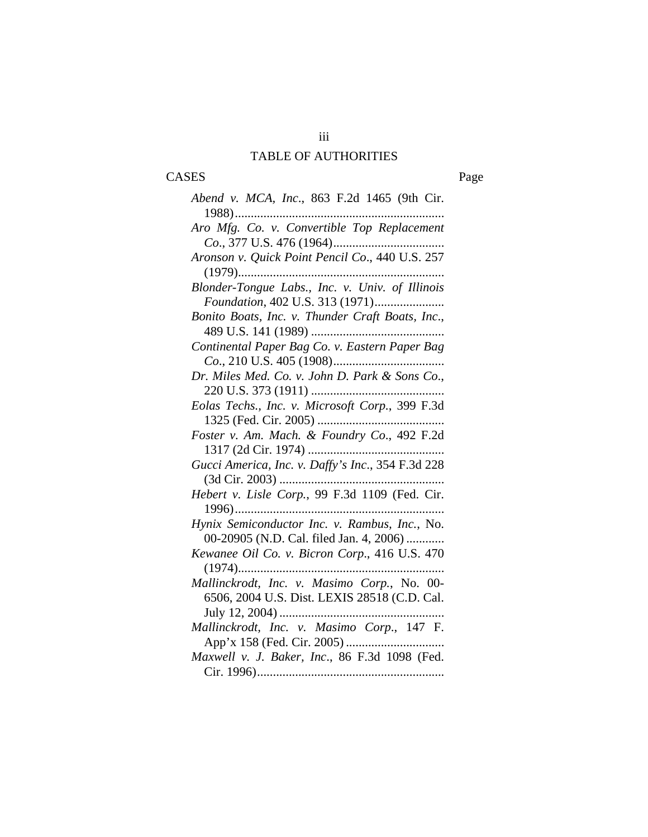## TABLE OF AUTHORITIES

# CASES Page

| Abend v. MCA, Inc., 863 F.2d 1465 (9th Cir.       |
|---------------------------------------------------|
|                                                   |
| Aro Mfg. Co. v. Convertible Top Replacement       |
|                                                   |
| Aronson v. Quick Point Pencil Co., 440 U.S. 257   |
|                                                   |
| Blonder-Tongue Labs., Inc. v. Univ. of Illinois   |
| Foundation, 402 U.S. 313 (1971)                   |
| Bonito Boats, Inc. v. Thunder Craft Boats, Inc.,  |
|                                                   |
| Continental Paper Bag Co. v. Eastern Paper Bag    |
|                                                   |
| Dr. Miles Med. Co. v. John D. Park & Sons Co.,    |
|                                                   |
| Eolas Techs., Inc. v. Microsoft Corp., 399 F.3d   |
| 1325 (Fed. Cir. 2005)                             |
| Foster v. Am. Mach. & Foundry Co., 492 F.2d       |
|                                                   |
| Gucci America, Inc. v. Daffy's Inc., 354 F.3d 228 |
| (3d Cir. 2003)<br>.                               |
| Hebert v. Lisle Corp., 99 F.3d 1109 (Fed. Cir.    |
| 1996)                                             |
| Hynix Semiconductor Inc. v. Rambus, Inc., No.     |
| 00-20905 (N.D. Cal. filed Jan. 4, 2006)           |
| Kewanee Oil Co. v. Bicron Corp., 416 U.S. 470     |
|                                                   |
| Mallinckrodt, Inc. v. Masimo Corp., No. 00-       |
| 6506, 2004 U.S. Dist. LEXIS 28518 (C.D. Cal.      |
|                                                   |
| Mallinckrodt, Inc. v. Masimo Corp., 147 F.        |
|                                                   |
| Maxwell v. J. Baker, Inc., 86 F.3d 1098 (Fed.     |
|                                                   |

iii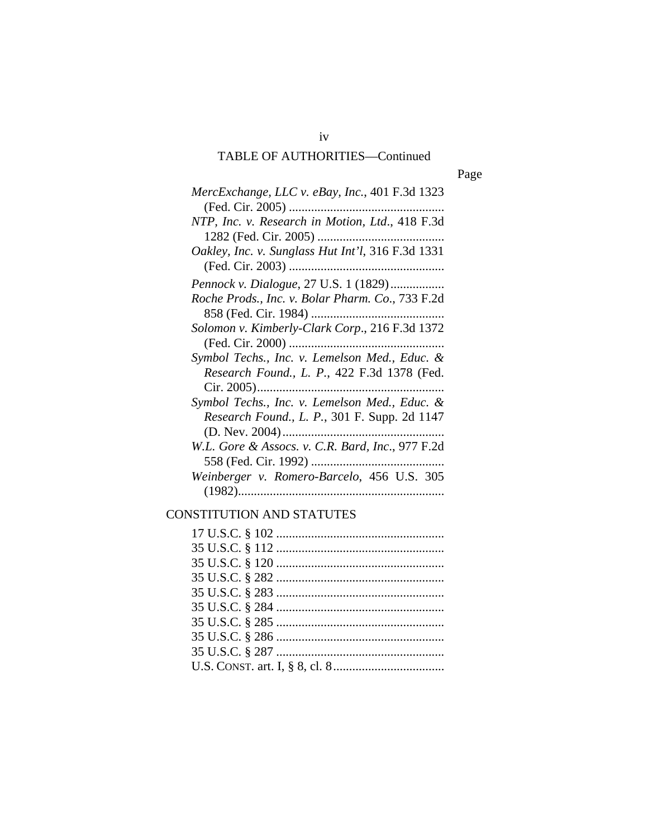## TABLE OF AUTHORITIES—Continued

Page

| MercExchange, LLC v. eBay, Inc., 401 F.3d 1323      |
|-----------------------------------------------------|
|                                                     |
| NTP, Inc. v. Research in Motion, Ltd., 418 F.3d     |
|                                                     |
| Oakley, Inc. v. Sunglass Hut Int'l, 316 F.3d 1331   |
|                                                     |
| <i>Pennock v. Dialogue, 27 U.S. 1 (1829)</i>        |
| Roche Prods., Inc. v. Bolar Pharm. Co., 733 F.2d    |
|                                                     |
| Solomon v. Kimberly-Clark Corp., 216 F.3d 1372      |
|                                                     |
| Symbol Techs., Inc. v. Lemelson Med., Educ. &       |
| Research Found., L. P., 422 F.3d 1378 (Fed.         |
|                                                     |
| Symbol Techs., Inc. v. Lemelson Med., Educ. &       |
| <i>Research Found., L. P., 301 F. Supp. 2d 1147</i> |
|                                                     |
| W.L. Gore & Assocs. v. C.R. Bard, Inc., 977 F.2d    |
|                                                     |
| Weinberger v. Romero-Barcelo, 456 U.S. 305          |
|                                                     |
|                                                     |

## CONSTITUTION AND STATUTES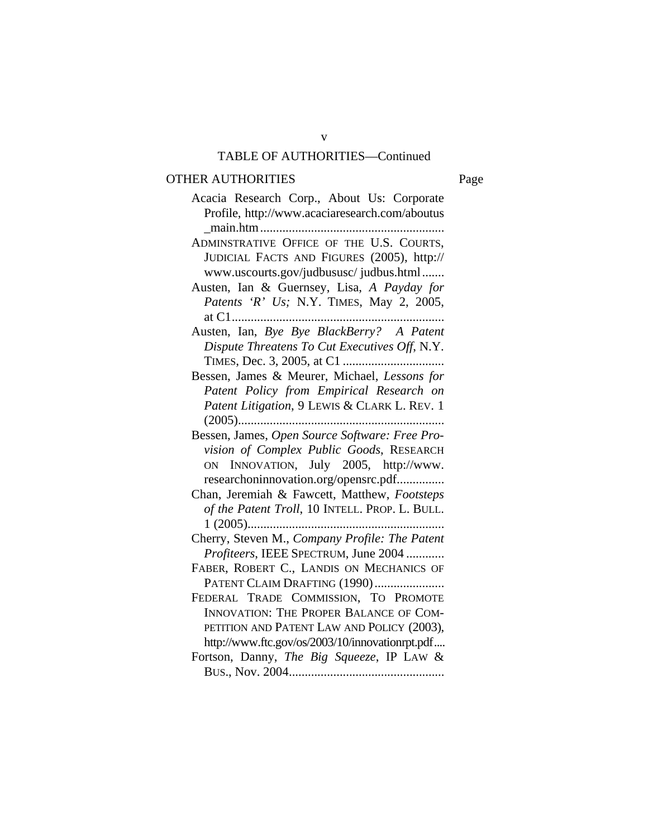## v TABLE OF AUTHORITIES—Continued

## OTHER AUTHORITIES Page

| Acacia Research Corp., About Us: Corporate      |
|-------------------------------------------------|
| Profile, http://www.acaciaresearch.com/aboutus  |
|                                                 |
| ADMINSTRATIVE OFFICE OF THE U.S. COURTS,        |
| JUDICIAL FACTS AND FIGURES (2005), http://      |
| www.uscourts.gov/judbususc/ judbus.html         |
| Austen, Ian & Guernsey, Lisa, A Payday for      |
| Patents 'R' Us; N.Y. TIMES, May 2, 2005,        |
|                                                 |
| Austen, Ian, Bye Bye BlackBerry? A Patent       |
| Dispute Threatens To Cut Executives Off, N.Y.   |
|                                                 |
| Bessen, James & Meurer, Michael, Lessons for    |
| Patent Policy from Empirical Research on        |
| Patent Litigation, 9 LEWIS & CLARK L. REV. 1    |
|                                                 |
| Bessen, James, Open Source Software: Free Pro-  |
| vision of Complex Public Goods, RESEARCH        |
| ON INNOVATION, July 2005, http://www.           |
| researchoninnovation.org/opensrc.pdf            |
| Chan, Jeremiah & Fawcett, Matthew, Footsteps    |
| of the Patent Troll, 10 INTELL. PROP. L. BULL.  |
|                                                 |
| Cherry, Steven M., Company Profile: The Patent  |
| Profiteers, IEEE SPECTRUM, June 2004            |
| FABER, ROBERT C., LANDIS ON MECHANICS OF        |
| PATENT CLAIM DRAFTING (1990)                    |
| FEDERAL TRADE COMMISSION, TO PROMOTE            |
| <b>INNOVATION: THE PROPER BALANCE OF COM-</b>   |
| PETITION AND PATENT LAW AND POLICY (2003),      |
| http://www.ftc.gov/os/2003/10/innovationrpt.pdf |
| Fortson, Danny, The Big Squeeze, IP LAW &       |
|                                                 |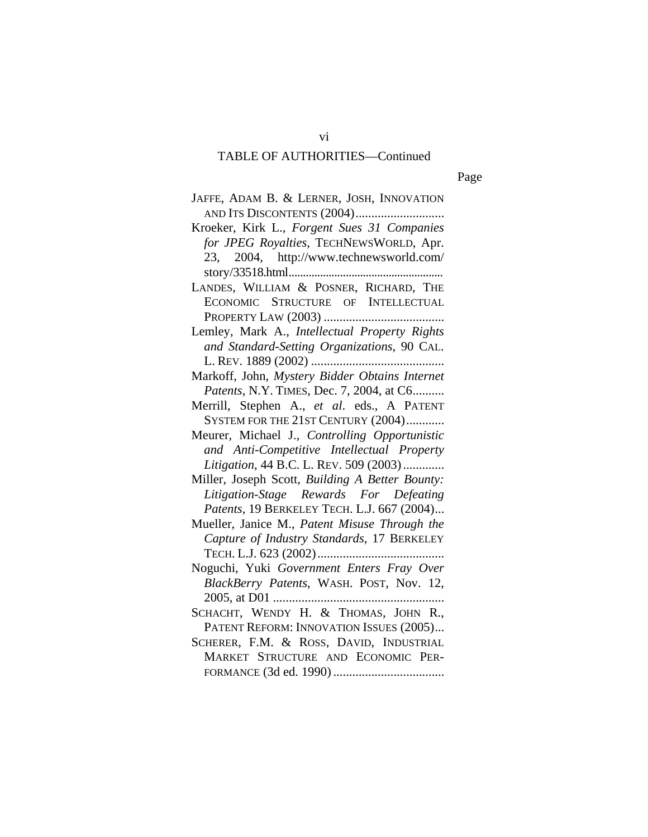## TABLE OF AUTHORITIES—Continued

Page

| JAFFE, ADAM B. & LERNER, JOSH, INNOVATION       |
|-------------------------------------------------|
|                                                 |
| Kroeker, Kirk L., Forgent Sues 31 Companies     |
| for JPEG Royalties, TECHNEWSWORLD, Apr.         |
| 23, 2004, http://www.technewsworld.com/         |
| story/33518.html                                |
| LANDES, WILLIAM & POSNER, RICHARD, THE          |
| ECONOMIC STRUCTURE OF INTELLECTUAL              |
|                                                 |
| Lemley, Mark A., Intellectual Property Rights   |
| and Standard-Setting Organizations, 90 CAL.     |
|                                                 |
| Markoff, John, Mystery Bidder Obtains Internet  |
| Patents, N.Y. TIMES, Dec. 7, 2004, at C6        |
| Merrill, Stephen A., et al. eds., A PATENT      |
| SYSTEM FOR THE 21ST CENTURY (2004)              |
| Meurer, Michael J., Controlling Opportunistic   |
| and Anti-Competitive Intellectual Property      |
| Litigation, 44 B.C. L. REV. 509 (2003)          |
| Miller, Joseph Scott, Building A Better Bounty: |
| Litigation-Stage Rewards For Defeating          |
| Patents, 19 BERKELEY TECH. L.J. 667 (2004)      |
| Mueller, Janice M., Patent Misuse Through the   |
| Capture of Industry Standards, 17 BERKELEY      |
|                                                 |
| Noguchi, Yuki Government Enters Fray Over       |
| BlackBerry Patents, WASH. POST, Nov. 12,        |
|                                                 |
| SCHACHT, WENDY H. & THOMAS, JOHN R.,            |
| PATENT REFORM: INNOVATION ISSUES (2005)         |
| SCHERER, F.M. & ROSS, DAVID, INDUSTRIAL         |
| MARKET STRUCTURE AND ECONOMIC PER-              |
|                                                 |

vi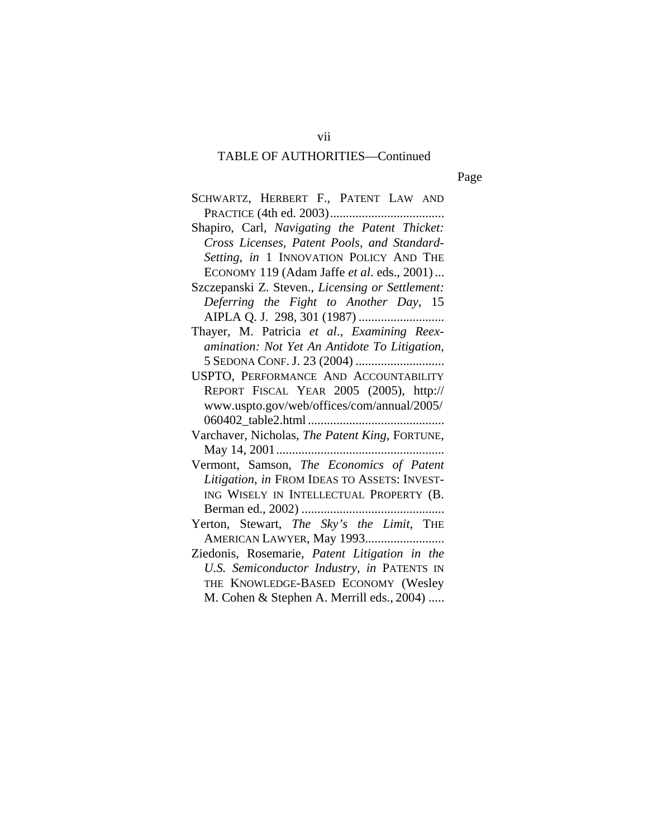## TABLE OF AUTHORITIES—Continued

Page

| SCHWARTZ, HERBERT F., PATENT LAW AND             |
|--------------------------------------------------|
|                                                  |
| Shapiro, Carl, Navigating the Patent Thicket:    |
| Cross Licenses, Patent Pools, and Standard-      |
| Setting, in 1 INNOVATION POLICY AND THE          |
| ECONOMY 119 (Adam Jaffe et al. eds., 2001)       |
| Szczepanski Z. Steven., Licensing or Settlement: |
| Deferring the Fight to Another Day, 15           |
|                                                  |
| Thayer, M. Patricia et al., Examining Reex-      |
| amination: Not Yet An Antidote To Litigation,    |
|                                                  |
| USPTO, PERFORMANCE AND ACCOUNTABILITY            |
| REPORT FISCAL YEAR 2005 (2005), http://          |
| www.uspto.gov/web/offices/com/annual/2005/       |
|                                                  |
| Varchaver, Nicholas, The Patent King, FORTUNE,   |
|                                                  |
| Vermont, Samson, The Economics of Patent         |
| Litigation, in FROM IDEAS TO ASSETS: INVEST-     |
| ING WISELY IN INTELLECTUAL PROPERTY (B.          |
|                                                  |
| Yerton, Stewart, The Sky's the Limit, THE        |
| AMERICAN LAWYER, May 1993                        |
| Ziedonis, Rosemarie, Patent Litigation in the    |
| U.S. Semiconductor Industry, in PATENTS IN       |
| THE KNOWLEDGE-BASED ECONOMY (Wesley              |
| M. Cohen & Stephen A. Merrill eds., 2004)        |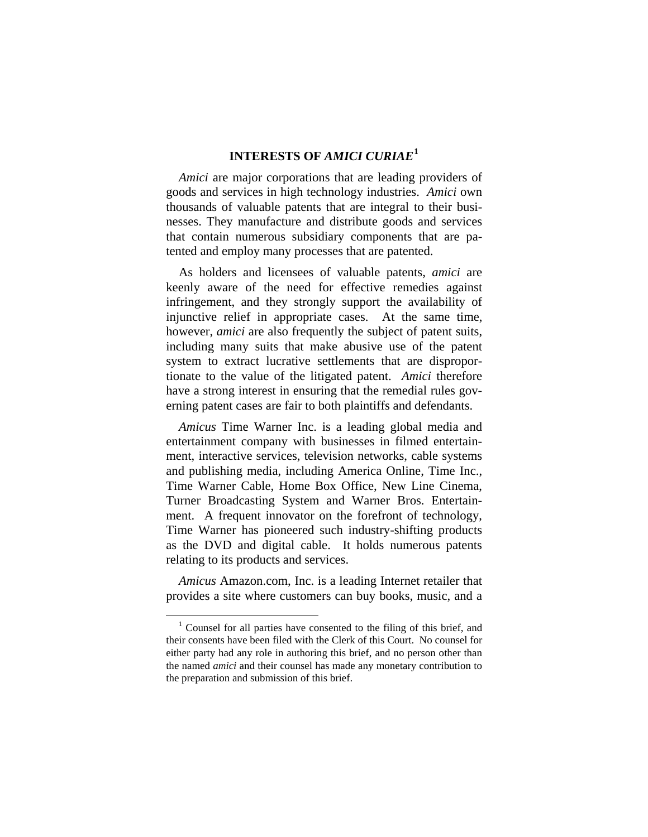## **INTERESTS OF** *AMICI CURIAE***[1](#page-8-0)**

*Amici* are major corporations that are leading providers of goods and services in high technology industries. *Amici* own thousands of valuable patents that are integral to their businesses. They manufacture and distribute goods and services that contain numerous subsidiary components that are patented and employ many processes that are patented.

As holders and licensees of valuable patents, *amici* are keenly aware of the need for effective remedies against infringement, and they strongly support the availability of injunctive relief in appropriate cases. At the same time, however, *amici* are also frequently the subject of patent suits, including many suits that make abusive use of the patent system to extract lucrative settlements that are disproportionate to the value of the litigated patent. *Amici* therefore have a strong interest in ensuring that the remedial rules governing patent cases are fair to both plaintiffs and defendants.

*Amicus* Time Warner Inc. is a leading global media and entertainment company with businesses in filmed entertainment, interactive services, television networks, cable systems and publishing media, including America Online, Time Inc., Time Warner Cable, Home Box Office, New Line Cinema, Turner Broadcasting System and Warner Bros. Entertainment. A frequent innovator on the forefront of technology, Time Warner has pioneered such industry-shifting products as the DVD and digital cable. It holds numerous patents relating to its products and services.

*Amicus* Amazon.com, Inc. is a leading Internet retailer that provides a site where customers can buy books, music, and a

<span id="page-8-0"></span> $\frac{1}{1}$  $\frac{1}{1}$  Counsel for all parties have consented to the filing of this brief, and their consents have been filed with the Clerk of this Court. No counsel for either party had any role in authoring this brief, and no person other than the named *amici* and their counsel has made any monetary contribution to the preparation and submission of this brief.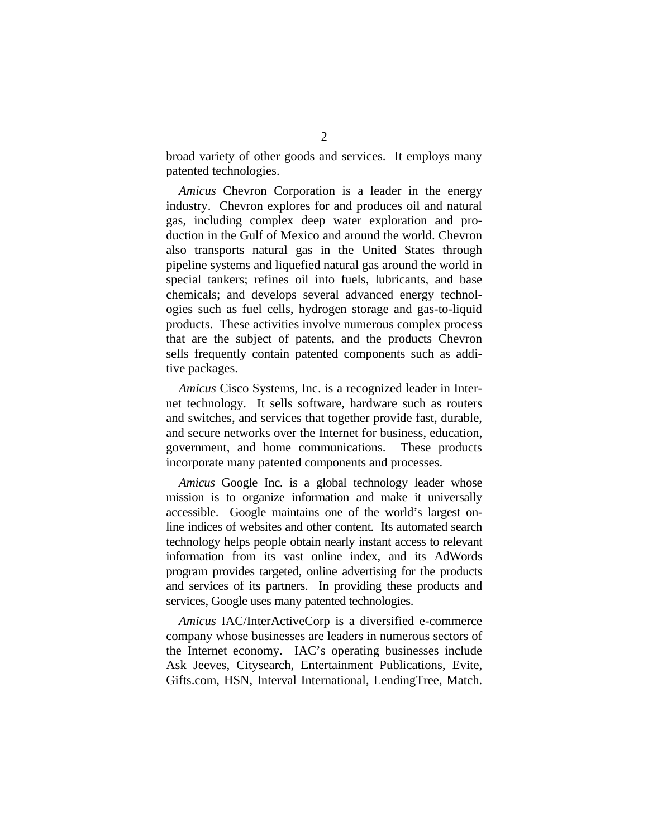broad variety of other goods and services. It employs many patented technologies.

*Amicus* Chevron Corporation is a leader in the energy industry. Chevron explores for and produces oil and natural gas, including complex deep water exploration and production in the Gulf of Mexico and around the world. Chevron also transports natural gas in the United States through pipeline systems and liquefied natural gas around the world in special tankers; refines oil into fuels, lubricants, and base chemicals; and develops several advanced energy technologies such as fuel cells, hydrogen storage and gas-to-liquid products. These activities involve numerous complex process that are the subject of patents, and the products Chevron sells frequently contain patented components such as additive packages.

*Amicus* Cisco Systems, Inc. is a recognized leader in Internet technology. It sells software, hardware such as routers and switches, and services that together provide fast, durable, and secure networks over the Internet for business, education, government, and home communications. These products incorporate many patented components and processes.

*Amicus* Google Inc. is a global technology leader whose mission is to organize information and make it universally accessible. Google maintains one of the world's largest online indices of websites and other content. Its automated search technology helps people obtain nearly instant access to relevant information from its vast online index, and its AdWords program provides targeted, online advertising for the products and services of its partners. In providing these products and services, Google uses many patented technologies.

*Amicus* IAC/InterActiveCorp is a diversified e-commerce company whose businesses are leaders in numerous sectors of the Internet economy. IAC's operating businesses include Ask Jeeves, Citysearch, Entertainment Publications, Evite, Gifts.com, HSN, Interval International, LendingTree, Match.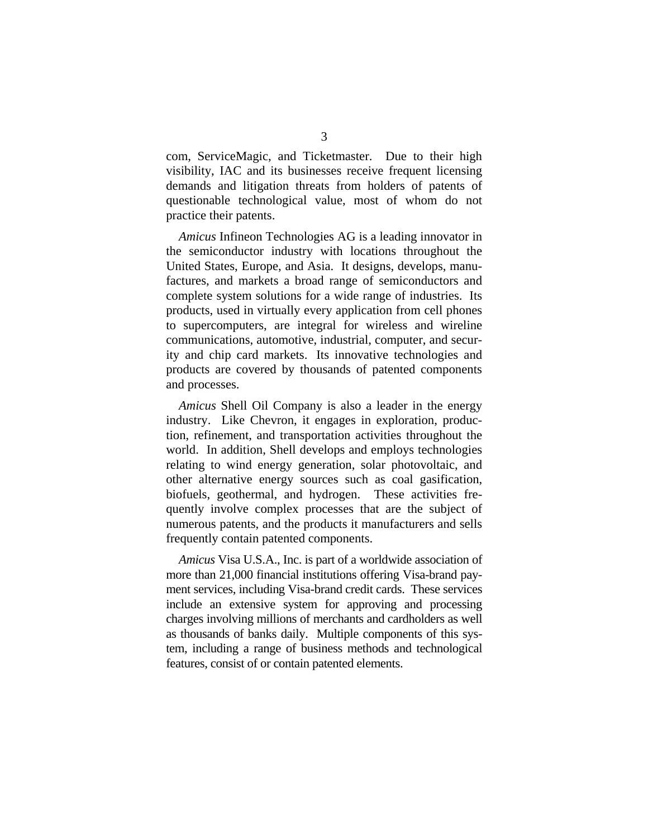com, ServiceMagic, and Ticketmaster. Due to their high visibility, IAC and its businesses receive frequent licensing demands and litigation threats from holders of patents of questionable technological value, most of whom do not practice their patents.

*Amicus* Infineon Technologies AG is a leading innovator in the semiconductor industry with locations throughout the United States, Europe, and Asia. It designs, develops, manufactures, and markets a broad range of semiconductors and complete system solutions for a wide range of industries. Its products, used in virtually every application from cell phones to supercomputers, are integral for wireless and wireline communications, automotive, industrial, computer, and security and chip card markets. Its innovative technologies and products are covered by thousands of patented components and processes.

*Amicus* Shell Oil Company is also a leader in the energy industry. Like Chevron, it engages in exploration, production, refinement, and transportation activities throughout the world. In addition, Shell develops and employs technologies relating to wind energy generation, solar photovoltaic, and other alternative energy sources such as coal gasification, biofuels, geothermal, and hydrogen. These activities frequently involve complex processes that are the subject of numerous patents, and the products it manufacturers and sells frequently contain patented components.

*Amicus* Visa U.S.A., Inc. is part of a worldwide association of more than 21,000 financial institutions offering Visa-brand payment services, including Visa-brand credit cards. These services include an extensive system for approving and processing charges involving millions of merchants and cardholders as well as thousands of banks daily. Multiple components of this system, including a range of business methods and technological features, consist of or contain patented elements.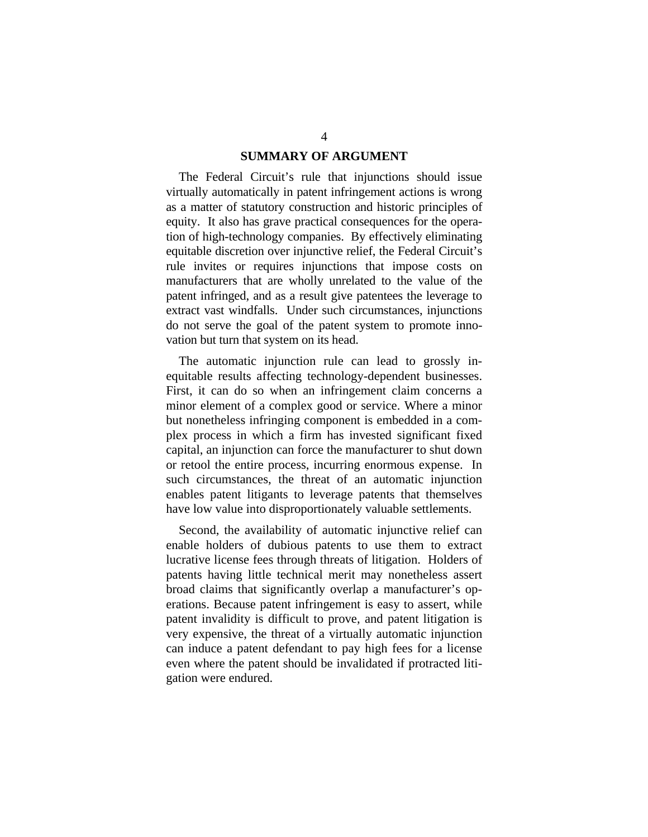#### **SUMMARY OF ARGUMENT**

The Federal Circuit's rule that injunctions should issue virtually automatically in patent infringement actions is wrong as a matter of statutory construction and historic principles of equity. It also has grave practical consequences for the operation of high-technology companies. By effectively eliminating equitable discretion over injunctive relief, the Federal Circuit's rule invites or requires injunctions that impose costs on manufacturers that are wholly unrelated to the value of the patent infringed, and as a result give patentees the leverage to extract vast windfalls. Under such circumstances, injunctions do not serve the goal of the patent system to promote innovation but turn that system on its head.

The automatic injunction rule can lead to grossly inequitable results affecting technology-dependent businesses. First, it can do so when an infringement claim concerns a minor element of a complex good or service. Where a minor but nonetheless infringing component is embedded in a complex process in which a firm has invested significant fixed capital, an injunction can force the manufacturer to shut down or retool the entire process, incurring enormous expense. In such circumstances, the threat of an automatic injunction enables patent litigants to leverage patents that themselves have low value into disproportionately valuable settlements.

Second, the availability of automatic injunctive relief can enable holders of dubious patents to use them to extract lucrative license fees through threats of litigation. Holders of patents having little technical merit may nonetheless assert broad claims that significantly overlap a manufacturer's operations. Because patent infringement is easy to assert, while patent invalidity is difficult to prove, and patent litigation is very expensive, the threat of a virtually automatic injunction can induce a patent defendant to pay high fees for a license even where the patent should be invalidated if protracted litigation were endured.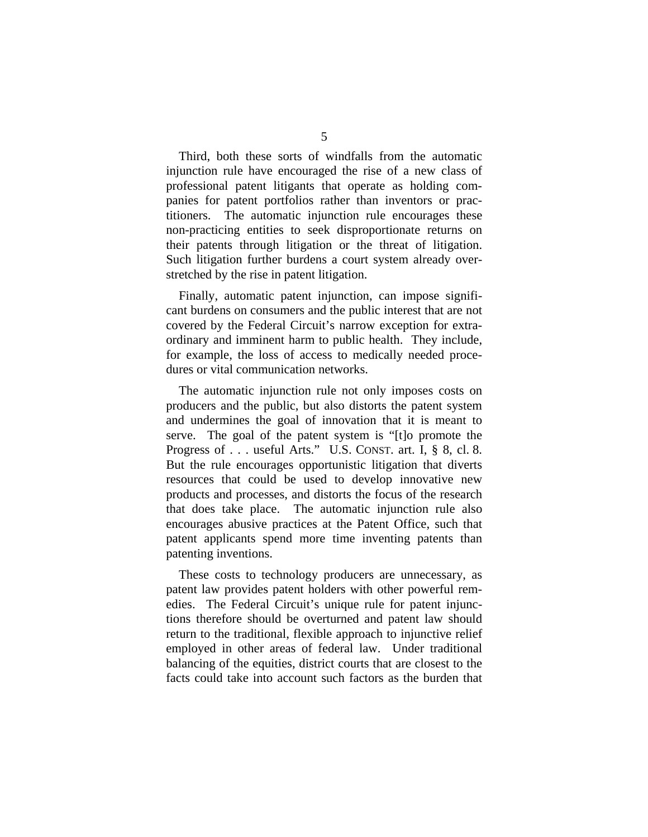Third, both these sorts of windfalls from the automatic injunction rule have encouraged the rise of a new class of professional patent litigants that operate as holding companies for patent portfolios rather than inventors or practitioners. The automatic injunction rule encourages these non-practicing entities to seek disproportionate returns on their patents through litigation or the threat of litigation. Such litigation further burdens a court system already overstretched by the rise in patent litigation.

Finally, automatic patent injunction, can impose significant burdens on consumers and the public interest that are not covered by the Federal Circuit's narrow exception for extraordinary and imminent harm to public health. They include, for example, the loss of access to medically needed procedures or vital communication networks.

The automatic injunction rule not only imposes costs on producers and the public, but also distorts the patent system and undermines the goal of innovation that it is meant to serve. The goal of the patent system is "[t]o promote the Progress of . . . useful Arts." U.S. CONST. art. I, § 8, cl. 8. But the rule encourages opportunistic litigation that diverts resources that could be used to develop innovative new products and processes, and distorts the focus of the research that does take place. The automatic injunction rule also encourages abusive practices at the Patent Office, such that patent applicants spend more time inventing patents than patenting inventions.

These costs to technology producers are unnecessary, as patent law provides patent holders with other powerful remedies. The Federal Circuit's unique rule for patent injunctions therefore should be overturned and patent law should return to the traditional, flexible approach to injunctive relief employed in other areas of federal law. Under traditional balancing of the equities, district courts that are closest to the facts could take into account such factors as the burden that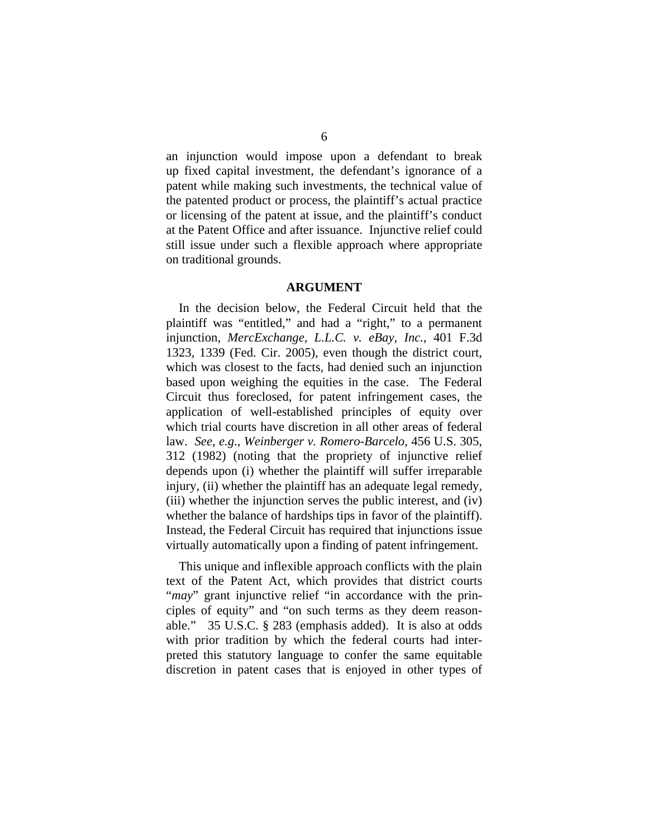an injunction would impose upon a defendant to break up fixed capital investment, the defendant's ignorance of a patent while making such investments, the technical value of the patented product or process, the plaintiff's actual practice or licensing of the patent at issue, and the plaintiff's conduct at the Patent Office and after issuance. Injunctive relief could still issue under such a flexible approach where appropriate on traditional grounds.

#### **ARGUMENT**

In the decision below, the Federal Circuit held that the plaintiff was "entitled," and had a "right," to a permanent injunction, *MercExchange, L.L.C. v. eBay, Inc.*, 401 F.3d 1323, 1339 (Fed. Cir. 2005), even though the district court, which was closest to the facts, had denied such an injunction based upon weighing the equities in the case. The Federal Circuit thus foreclosed, for patent infringement cases, the application of well-established principles of equity over which trial courts have discretion in all other areas of federal law. *See, e.g*., *Weinberger v. Romero-Barcelo*, 456 U.S. 305, 312 (1982) (noting that the propriety of injunctive relief depends upon (i) whether the plaintiff will suffer irreparable injury, (ii) whether the plaintiff has an adequate legal remedy, (iii) whether the injunction serves the public interest, and (iv) whether the balance of hardships tips in favor of the plaintiff). Instead, the Federal Circuit has required that injunctions issue virtually automatically upon a finding of patent infringement.

This unique and inflexible approach conflicts with the plain text of the Patent Act, which provides that district courts "*may*" grant injunctive relief "in accordance with the principles of equity" and "on such terms as they deem reasonable." 35 U.S.C. § 283 (emphasis added). It is also at odds with prior tradition by which the federal courts had interpreted this statutory language to confer the same equitable discretion in patent cases that is enjoyed in other types of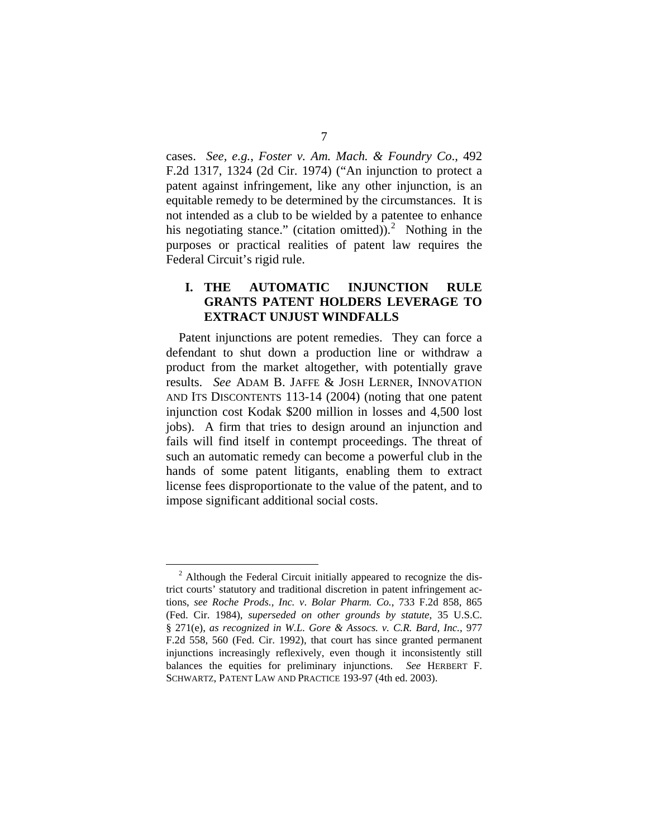cases. *See, e.g.*, *Foster v. Am. Mach. & Foundry Co*., 492 F.2d 1317, 1324 (2d Cir. 1974) ("An injunction to protect a patent against infringement, like any other injunction, is an equitable remedy to be determined by the circumstances. It is not intended as a club to be wielded by a patentee to enhance his negotiating stance." (citation omitted)).<sup>[2](#page-14-0)</sup> Nothing in the purposes or practical realities of patent law requires the Federal Circuit's rigid rule.

### **I. THE AUTOMATIC INJUNCTION RULE GRANTS PATENT HOLDERS LEVERAGE TO EXTRACT UNJUST WINDFALLS**

Patent injunctions are potent remedies. They can force a defendant to shut down a production line or withdraw a product from the market altogether, with potentially grave results. *See* ADAM B. JAFFE & JOSH LERNER, INNOVATION AND ITS DISCONTENTS 113-14 (2004) (noting that one patent injunction cost Kodak \$200 million in losses and 4,500 lost jobs). A firm that tries to design around an injunction and fails will find itself in contempt proceedings. The threat of such an automatic remedy can become a powerful club in the hands of some patent litigants, enabling them to extract license fees disproportionate to the value of the patent, and to impose significant additional social costs.

<span id="page-14-0"></span><sup>&</sup>lt;sup>2</sup> Although the Federal Circuit initially appeared to recognize the district courts' statutory and traditional discretion in patent infringement actions, *see Roche Prods., Inc. v*. *Bolar Pharm. Co.*, 733 F.2d 858, 865 (Fed. Cir. 1984), *superseded on other grounds by statute*, 35 U.S.C. § 271(e), *as recognized in W.L. Gore & Assocs. v. C.R. Bard, Inc.*, 977 F.2d 558, 560 (Fed. Cir. 1992), that court has since granted permanent injunctions increasingly reflexively, even though it inconsistently still balances the equities for preliminary injunctions. *See* HERBERT F. SCHWARTZ, PATENT LAW AND PRACTICE 193-97 (4th ed. 2003).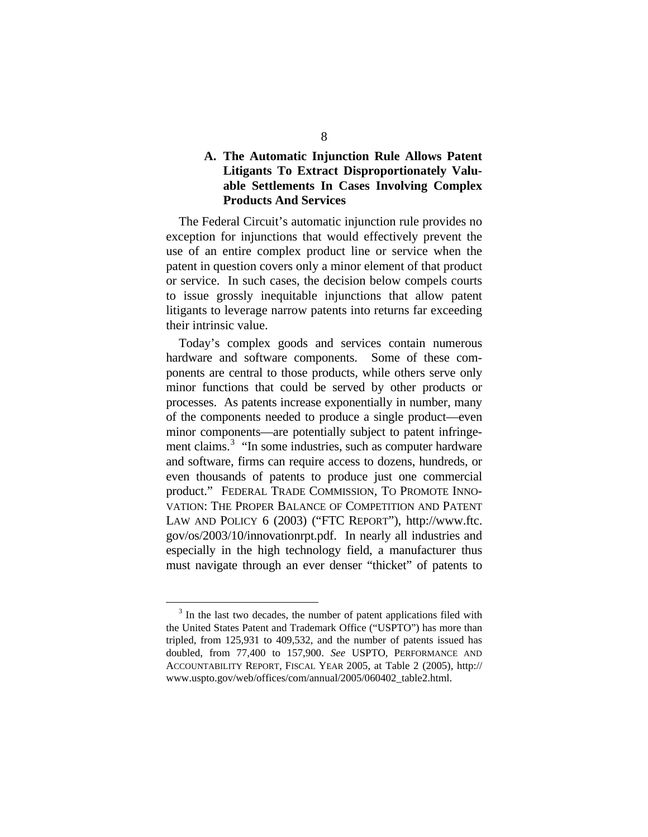### **A. The Automatic Injunction Rule Allows Patent Litigants To Extract Disproportionately Valuable Settlements In Cases Involving Complex Products And Services**

The Federal Circuit's automatic injunction rule provides no exception for injunctions that would effectively prevent the use of an entire complex product line or service when the patent in question covers only a minor element of that product or service. In such cases, the decision below compels courts to issue grossly inequitable injunctions that allow patent litigants to leverage narrow patents into returns far exceeding their intrinsic value.

Today's complex goods and services contain numerous hardware and software components. Some of these components are central to those products, while others serve only minor functions that could be served by other products or processes. As patents increase exponentially in number, many of the components needed to produce a single product—even minor components—are potentially subject to patent infringe-ment claims.<sup>[3](#page-15-0)</sup> "In some industries, such as computer hardware and software, firms can require access to dozens, hundreds, or even thousands of patents to produce just one commercial product." FEDERAL TRADE COMMISSION, TO PROMOTE INNO-VATION: THE PROPER BALANCE OF COMPETITION AND PATENT LAW AND POLICY 6 (2003) ("FTC REPORT"), http://www.ftc. gov/os/2003/10/innovationrpt.pdf. In nearly all industries and especially in the high technology field, a manufacturer thus must navigate through an ever denser "thicket" of patents to

<span id="page-15-0"></span><sup>&</sup>lt;sup>3</sup> In the last two decades, the number of patent applications filed with the United States Patent and Trademark Office ("USPTO") has more than tripled, from 125,931 to 409,532, and the number of patents issued has doubled, from 77,400 to 157,900. *See* USPTO, PERFORMANCE AND ACCOUNTABILITY REPORT, FISCAL YEAR 2005, at Table 2 (2005), http:// www.uspto.gov/web/offices/com/annual/2005/060402\_table2.html.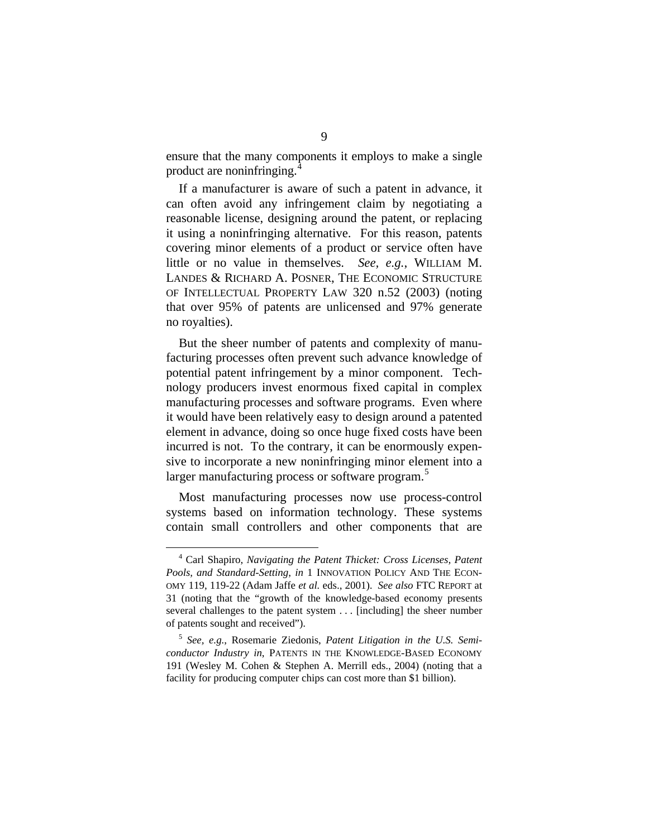ensure that the many components it employs to make a single product are noninfringing.[4](#page-16-0)

If a manufacturer is aware of such a patent in advance, it can often avoid any infringement claim by negotiating a reasonable license, designing around the patent, or replacing it using a noninfringing alternative. For this reason, patents covering minor elements of a product or service often have little or no value in themselves. *See, e.g.*, WILLIAM M. LANDES & RICHARD A. POSNER, THE ECONOMIC STRUCTURE OF INTELLECTUAL PROPERTY LAW 320 n.52 (2003) (noting that over 95% of patents are unlicensed and 97% generate no royalties).

But the sheer number of patents and complexity of manufacturing processes often prevent such advance knowledge of potential patent infringement by a minor component. Technology producers invest enormous fixed capital in complex manufacturing processes and software programs. Even where it would have been relatively easy to design around a patented element in advance, doing so once huge fixed costs have been incurred is not. To the contrary, it can be enormously expensive to incorporate a new noninfringing minor element into a larger manufacturing process or software program.<sup>[5](#page-16-1)</sup>

Most manufacturing processes now use process-control systems based on information technology. These systems contain small controllers and other components that are

<span id="page-16-0"></span> <sup>4</sup> Carl Shapiro, *Navigating the Patent Thicket: Cross Licenses, Patent Pools, and Standard-Setting*, *in* 1 INNOVATION POLICY AND THE ECON-OMY 119, 119-22 (Adam Jaffe *et al.* eds., 2001). *See also* FTC REPORT at 31 (noting that the "growth of the knowledge-based economy presents several challenges to the patent system . . . [including] the sheer number of patents sought and received").

<span id="page-16-1"></span><sup>5</sup>  *See, e.g.*, Rosemarie Ziedonis, *Patent Litigation in the U.S. Semiconductor Industry in*, PATENTS IN THE KNOWLEDGE-BASED ECONOMY 191 (Wesley M. Cohen & Stephen A. Merrill eds., 2004) (noting that a facility for producing computer chips can cost more than \$1 billion).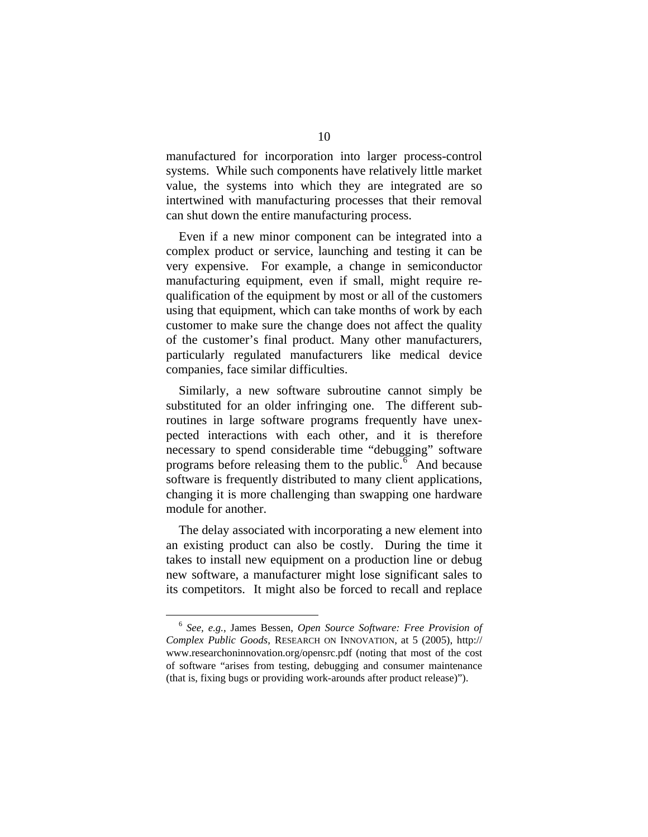manufactured for incorporation into larger process-control systems. While such components have relatively little market value, the systems into which they are integrated are so intertwined with manufacturing processes that their removal can shut down the entire manufacturing process.

Even if a new minor component can be integrated into a complex product or service, launching and testing it can be very expensive. For example, a change in semiconductor manufacturing equipment, even if small, might require requalification of the equipment by most or all of the customers using that equipment, which can take months of work by each customer to make sure the change does not affect the quality of the customer's final product. Many other manufacturers, particularly regulated manufacturers like medical device companies, face similar difficulties.

Similarly, a new software subroutine cannot simply be substituted for an older infringing one. The different subroutines in large software programs frequently have unexpected interactions with each other, and it is therefore necessary to spend considerable time "debugging" software programs before releasing them to the public. $\delta$  And because software is frequently distributed to many client applications, changing it is more challenging than swapping one hardware module for another.

The delay associated with incorporating a new element into an existing product can also be costly. During the time it takes to install new equipment on a production line or debug new software, a manufacturer might lose significant sales to its competitors. It might also be forced to recall and replace

<span id="page-17-0"></span> <sup>6</sup> *See, e.g.*, James Bessen, *Open Source Software: Free Provision of Complex Public Goods*, RESEARCH ON INNOVATION, at 5 (2005), http:// www.researchoninnovation.org/opensrc.pdf (noting that most of the cost of software "arises from testing, debugging and consumer maintenance (that is, fixing bugs or providing work-arounds after product release)").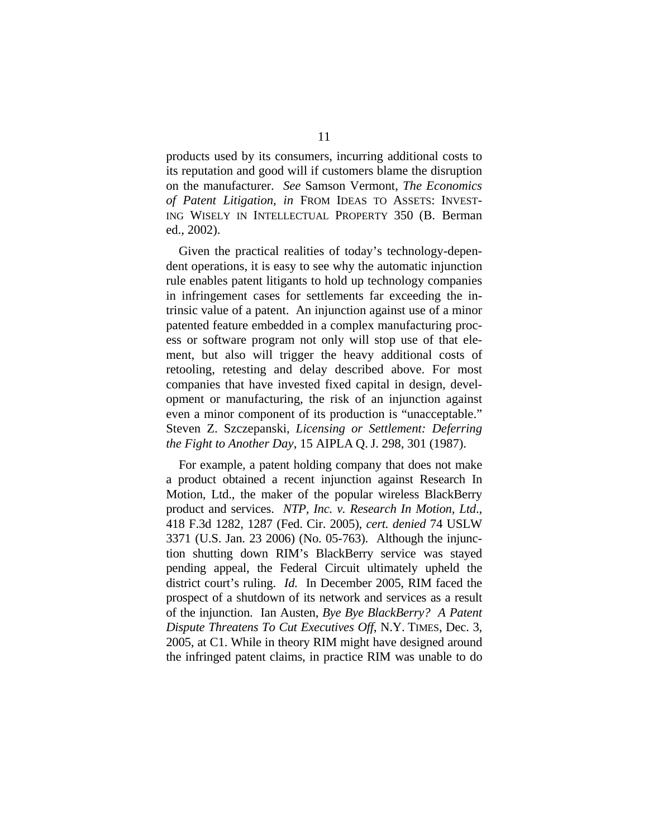products used by its consumers, incurring additional costs to its reputation and good will if customers blame the disruption on the manufacturer. *See* Samson Vermont, *The Economics of Patent Litigation*, *in* FROM IDEAS TO ASSETS: INVEST-ING WISELY IN INTELLECTUAL PROPERTY 350 (B. Berman ed., 2002).

Given the practical realities of today's technology-dependent operations, it is easy to see why the automatic injunction rule enables patent litigants to hold up technology companies in infringement cases for settlements far exceeding the intrinsic value of a patent. An injunction against use of a minor patented feature embedded in a complex manufacturing process or software program not only will stop use of that element, but also will trigger the heavy additional costs of retooling, retesting and delay described above. For most companies that have invested fixed capital in design, development or manufacturing, the risk of an injunction against even a minor component of its production is "unacceptable." Steven Z. Szczepanski, *Licensing or Settlement: Deferring the Fight to Another Day*, 15 AIPLA Q. J. 298, 301 (1987).

For example, a patent holding company that does not make a product obtained a recent injunction against Research In Motion, Ltd., the maker of the popular wireless BlackBerry product and services. *NTP, Inc. v. Research In Motion, Ltd*., 418 F.3d 1282, 1287 (Fed. Cir. 2005), *cert. denied* 74 USLW 3371 (U.S. Jan. 23 2006) (No. 05-763). Although the injunction shutting down RIM's BlackBerry service was stayed pending appeal, the Federal Circuit ultimately upheld the district court's ruling. *Id.* In December 2005, RIM faced the prospect of a shutdown of its network and services as a result of the injunction. Ian Austen, *Bye Bye BlackBerry? A Patent Dispute Threatens To Cut Executives Off*, N.Y. TIMES, Dec. 3, 2005, at C1. While in theory RIM might have designed around the infringed patent claims, in practice RIM was unable to do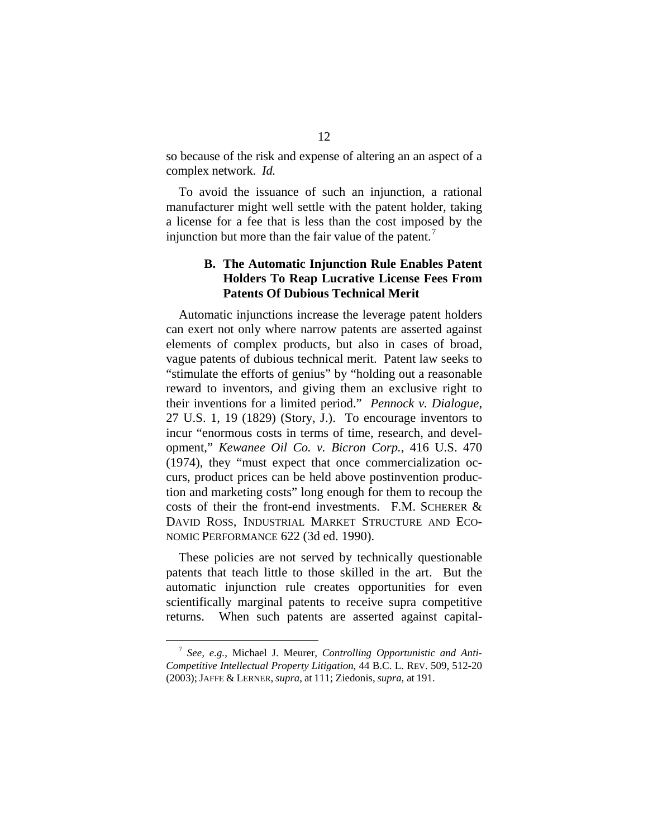so because of the risk and expense of altering an an aspect of a complex network. *Id.* 

To avoid the issuance of such an injunction, a rational manufacturer might well settle with the patent holder, taking a license for a fee that is less than the cost imposed by the injunction but more than the fair value of the patent.<sup> $\dot{\ }$ </sup>

### **B. The Automatic Injunction Rule Enables Patent Holders To Reap Lucrative License Fees From Patents Of Dubious Technical Merit**

Automatic injunctions increase the leverage patent holders can exert not only where narrow patents are asserted against elements of complex products, but also in cases of broad, vague patents of dubious technical merit. Patent law seeks to "stimulate the efforts of genius" by "holding out a reasonable reward to inventors, and giving them an exclusive right to their inventions for a limited period." *Pennock v. Dialogue*, 27 U.S. 1, 19 (1829) (Story, J.). To encourage inventors to incur "enormous costs in terms of time, research, and development," *Kewanee Oil Co. v. Bicron Corp.*, 416 U.S. 470 (1974), they "must expect that once commercialization occurs, product prices can be held above postinvention production and marketing costs" long enough for them to recoup the costs of their the front-end investments. F.M. SCHERER & DAVID ROSS, INDUSTRIAL MARKET STRUCTURE AND ECO-NOMIC PERFORMANCE 622 (3d ed. 1990).

These policies are not served by technically questionable patents that teach little to those skilled in the art. But the automatic injunction rule creates opportunities for even scientifically marginal patents to receive supra competitive returns. When such patents are asserted against capital-

<span id="page-19-0"></span> <sup>7</sup> *See, e.g.*, Michael J. Meurer, *Controlling Opportunistic and Anti-Competitive Intellectual Property Litigation*, 44 B.C. L. REV. 509, 512-20 (2003); JAFFE & LERNER, *supra*, at 111; Ziedonis, *supra*, at 191.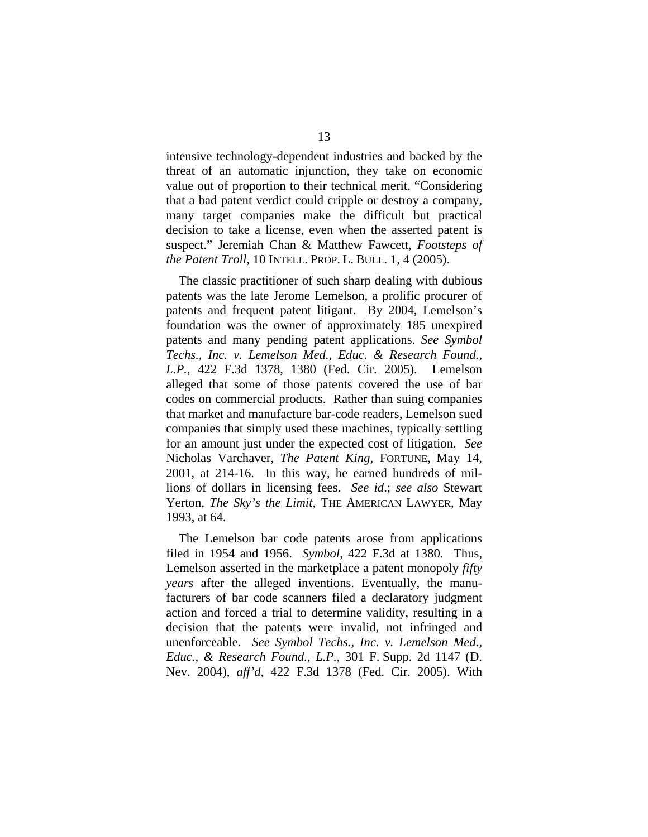intensive technology-dependent industries and backed by the threat of an automatic injunction, they take on economic value out of proportion to their technical merit. "Considering that a bad patent verdict could cripple or destroy a company, many target companies make the difficult but practical decision to take a license, even when the asserted patent is suspect." Jeremiah Chan & Matthew Fawcett, *Footsteps of the Patent Troll*, 10 INTELL. PROP. L. BULL. 1, 4 (2005).

The classic practitioner of such sharp dealing with dubious patents was the late Jerome Lemelson, a prolific procurer of patents and frequent patent litigant. By 2004, Lemelson's foundation was the owner of approximately 185 unexpired patents and many pending patent applications. *See Symbol Techs., Inc. v. Lemelson Med., Educ. & Research Found., L.P.*, 422 F.3d 1378, 1380 (Fed. Cir. 2005). Lemelson alleged that some of those patents covered the use of bar codes on commercial products. Rather than suing companies that market and manufacture bar-code readers, Lemelson sued companies that simply used these machines, typically settling for an amount just under the expected cost of litigation. *See* Nicholas Varchaver, *The Patent King*, FORTUNE, May 14, 2001, at 214-16. In this way, he earned hundreds of millions of dollars in licensing fees. *See id*.; *see also* Stewart Yerton, *The Sky's the Limit*, THE AMERICAN LAWYER, May 1993, at 64.

The Lemelson bar code patents arose from applications filed in 1954 and 1956. *Symbol*, 422 F.3d at 1380. Thus, Lemelson asserted in the marketplace a patent monopoly *fifty years* after the alleged inventions. Eventually, the manufacturers of bar code scanners filed a declaratory judgment action and forced a trial to determine validity, resulting in a decision that the patents were invalid, not infringed and unenforceable. *See Symbol Techs., Inc. v. Lemelson Med., Educ., & Research Found., L.P.*, 301 F. Supp. 2d 1147 (D. Nev. 2004), *aff'd*, 422 F.3d 1378 (Fed. Cir. 2005). With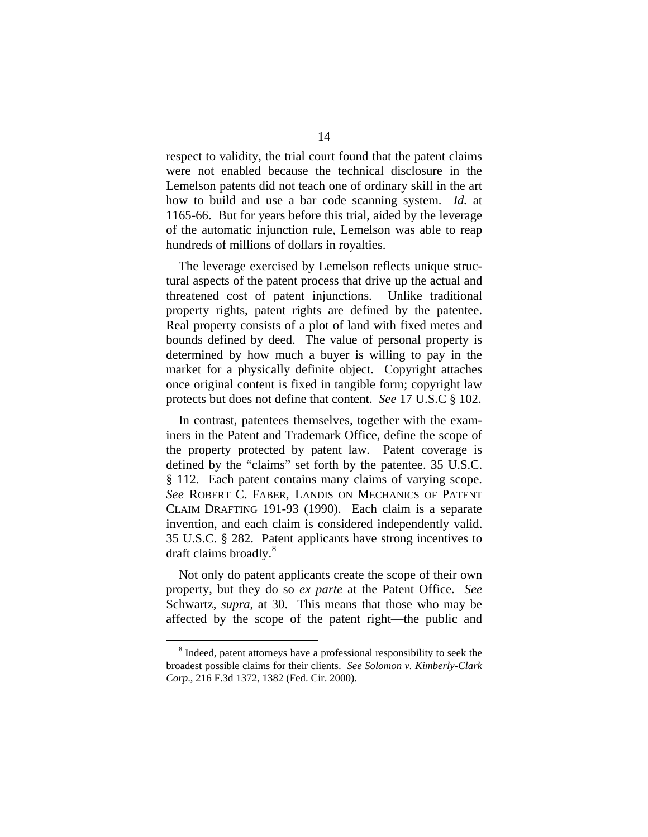respect to validity, the trial court found that the patent claims were not enabled because the technical disclosure in the Lemelson patents did not teach one of ordinary skill in the art how to build and use a bar code scanning system. *Id.* at 1165-66. But for years before this trial, aided by the leverage of the automatic injunction rule, Lemelson was able to reap hundreds of millions of dollars in royalties.

The leverage exercised by Lemelson reflects unique structural aspects of the patent process that drive up the actual and threatened cost of patent injunctions. Unlike traditional property rights, patent rights are defined by the patentee. Real property consists of a plot of land with fixed metes and bounds defined by deed. The value of personal property is determined by how much a buyer is willing to pay in the market for a physically definite object. Copyright attaches once original content is fixed in tangible form; copyright law protects but does not define that content. *See* 17 U.S.C § 102.

In contrast, patentees themselves, together with the examiners in the Patent and Trademark Office, define the scope of the property protected by patent law. Patent coverage is defined by the "claims" set forth by the patentee. 35 U.S.C. § 112. Each patent contains many claims of varying scope. *See* ROBERT C. FABER, LANDIS ON MECHANICS OF PATENT CLAIM DRAFTING 191-93 (1990). Each claim is a separate invention, and each claim is considered independently valid. 35 U.S.C. § 282. Patent applicants have strong incentives to draft claims broadly.<sup>[8](#page-21-0)</sup>

Not only do patent applicants create the scope of their own property, but they do so *ex parte* at the Patent Office. *See*  Schwartz, *supra*, at 30. This means that those who may be affected by the scope of the patent right—the public and

<span id="page-21-0"></span><sup>&</sup>lt;sup>8</sup> Indeed, patent attorneys have a professional responsibility to seek the broadest possible claims for their clients. *See Solomon v. Kimberly-Clark Corp*., 216 F.3d 1372, 1382 (Fed. Cir. 2000).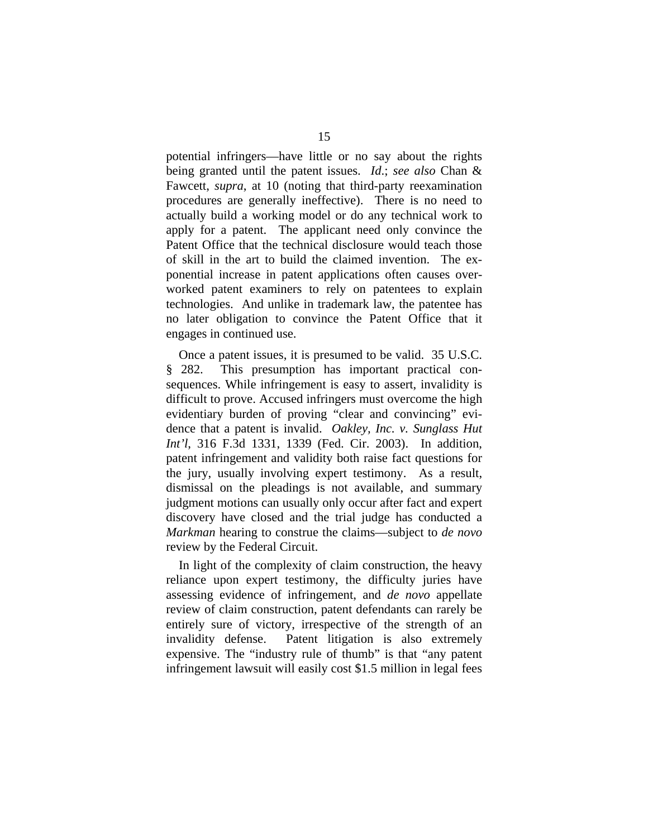potential infringers—have little or no say about the rights being granted until the patent issues. *Id*.; *see also* Chan & Fawcett, *supra*, at 10 (noting that third-party reexamination procedures are generally ineffective).There is no need to actually build a working model or do any technical work to apply for a patent. The applicant need only convince the Patent Office that the technical disclosure would teach those of skill in the art to build the claimed invention. The exponential increase in patent applications often causes overworked patent examiners to rely on patentees to explain technologies. And unlike in trademark law, the patentee has no later obligation to convince the Patent Office that it engages in continued use.

Once a patent issues, it is presumed to be valid. 35 U.S.C. § 282. This presumption has important practical consequences. While infringement is easy to assert, invalidity is difficult to prove. Accused infringers must overcome the high evidentiary burden of proving "clear and convincing" evidence that a patent is invalid. *Oakley, Inc. v. Sunglass Hut Int'l*, 316 F.3d 1331, 1339 (Fed. Cir. 2003). In addition, patent infringement and validity both raise fact questions for the jury, usually involving expert testimony. As a result, dismissal on the pleadings is not available, and summary judgment motions can usually only occur after fact and expert discovery have closed and the trial judge has conducted a *Markman* hearing to construe the claims—subject to *de novo* review by the Federal Circuit.

In light of the complexity of claim construction, the heavy reliance upon expert testimony, the difficulty juries have assessing evidence of infringement, and *de novo* appellate review of claim construction, patent defendants can rarely be entirely sure of victory, irrespective of the strength of an invalidity defense. Patent litigation is also extremely expensive. The "industry rule of thumb" is that "any patent infringement lawsuit will easily cost \$1.5 million in legal fees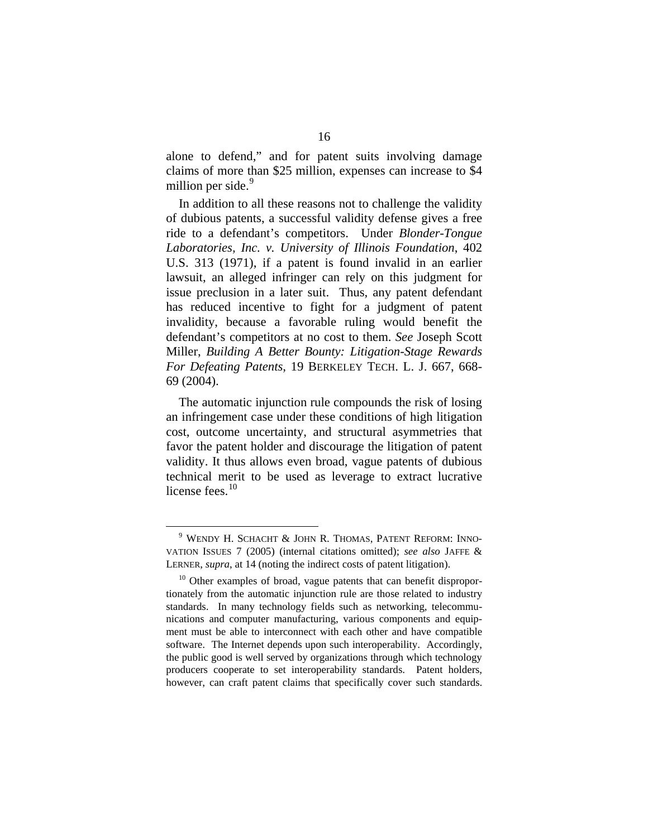alone to defend," and for patent suits involving damage claims of more than \$25 million, expenses can increase to \$4 million per side.<sup>[9](#page-23-0)</sup>

In addition to all these reasons not to challenge the validity of dubious patents, a successful validity defense gives a free ride to a defendant's competitors. Under *Blonder-Tongue Laboratories, Inc. v. University of Illinois Foundation*, 402 U.S. 313 (1971), if a patent is found invalid in an earlier lawsuit, an alleged infringer can rely on this judgment for issue preclusion in a later suit. Thus, any patent defendant has reduced incentive to fight for a judgment of patent invalidity, because a favorable ruling would benefit the defendant's competitors at no cost to them. *See* Joseph Scott Miller, *Building A Better Bounty: Litigation-Stage Rewards For Defeating Patents*, 19 BERKELEY TECH. L. J. 667, 668- 69 (2004).

The automatic injunction rule compounds the risk of losing an infringement case under these conditions of high litigation cost, outcome uncertainty, and structural asymmetries that favor the patent holder and discourage the litigation of patent validity. It thus allows even broad, vague patents of dubious technical merit to be used as leverage to extract lucrative license fees.<sup>[10](#page-23-1)</sup>

<span id="page-23-0"></span> <sup>9</sup> WENDY H. SCHACHT & JOHN R. THOMAS, PATENT REFORM: INNO-VATION ISSUES 7 (2005) (internal citations omitted); *see also* JAFFE & LERNER, *supra*, at 14 (noting the indirect costs of patent litigation).

<span id="page-23-1"></span> $10$  Other examples of broad, vague patents that can benefit disproportionately from the automatic injunction rule are those related to industry standards. In many technology fields such as networking, telecommunications and computer manufacturing, various components and equipment must be able to interconnect with each other and have compatible software. The Internet depends upon such interoperability. Accordingly, the public good is well served by organizations through which technology producers cooperate to set interoperability standards. Patent holders, however, can craft patent claims that specifically cover such standards.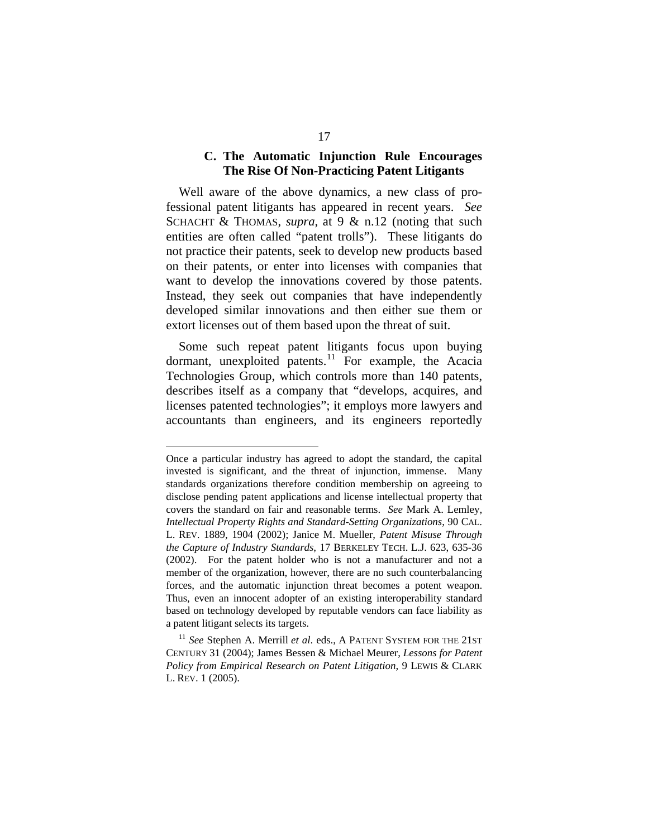### **C. The Automatic Injunction Rule Encourages The Rise Of Non-Practicing Patent Litigants**

Well aware of the above dynamics, a new class of professional patent litigants has appeared in recent years. *See*  SCHACHT & THOMAS, *supra*, at 9 & n.12 (noting that such entities are often called "patent trolls"). These litigants do not practice their patents, seek to develop new products based on their patents, or enter into licenses with companies that want to develop the innovations covered by those patents. Instead, they seek out companies that have independently developed similar innovations and then either sue them or extort licenses out of them based upon the threat of suit.

Some such repeat patent litigants focus upon buying dormant, unexploited patents.<sup>[11](#page-24-0)</sup> For example, the Acacia Technologies Group, which controls more than 140 patents, describes itself as a company that "develops, acquires, and licenses patented technologies"; it employs more lawyers and accountants than engineers, and its engineers reportedly

<u>.</u>

Once a particular industry has agreed to adopt the standard, the capital invested is significant, and the threat of injunction, immense. Many standards organizations therefore condition membership on agreeing to disclose pending patent applications and license intellectual property that covers the standard on fair and reasonable terms. *See* Mark A. Lemley, *Intellectual Property Rights and Standard-Setting Organizations*, 90 CAL. L. REV. 1889, 1904 (2002); Janice M. Mueller, *Patent Misuse Through the Capture of Industry Standards*, 17 BERKELEY TECH. L.J. 623, 635-36 (2002). For the patent holder who is not a manufacturer and not a member of the organization, however, there are no such counterbalancing forces, and the automatic injunction threat becomes a potent weapon. Thus, even an innocent adopter of an existing interoperability standard based on technology developed by reputable vendors can face liability as a patent litigant selects its targets.

<span id="page-24-0"></span><sup>&</sup>lt;sup>11</sup> See Stephen A. Merrill et al. eds., A PATENT SYSTEM FOR THE 21ST CENTURY 31 (2004); James Bessen & Michael Meurer, *Lessons for Patent Policy from Empirical Research on Patent Litigation*, 9 LEWIS & CLARK L. REV. 1 (2005).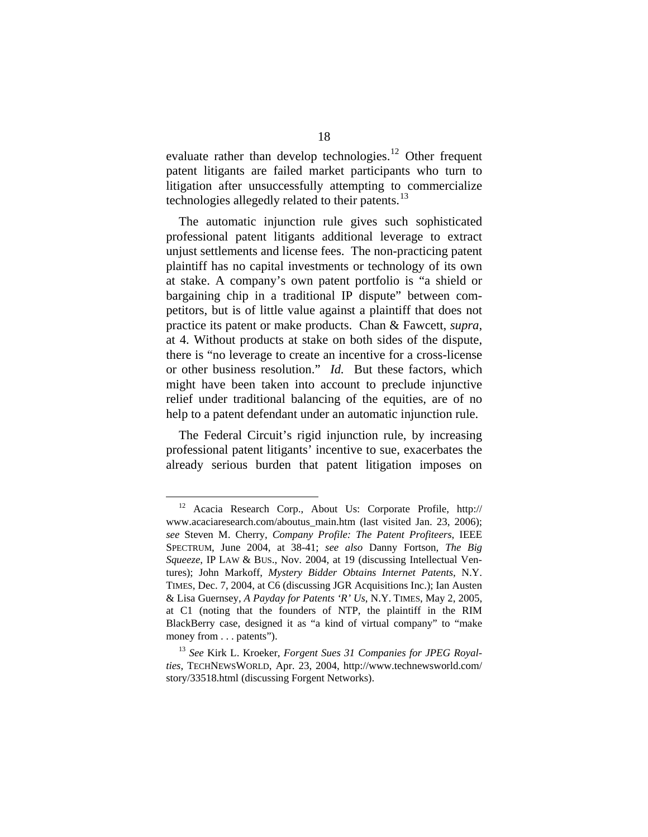evaluate rather than develop technologies.<sup>[12](#page-25-0)</sup> Other frequent patent litigants are failed market participants who turn to litigation after unsuccessfully attempting to commercialize technologies allegedly related to their patents.<sup>[13](#page-25-1)</sup>

The automatic injunction rule gives such sophisticated professional patent litigants additional leverage to extract unjust settlements and license fees. The non-practicing patent plaintiff has no capital investments or technology of its own at stake. A company's own patent portfolio is "a shield or bargaining chip in a traditional IP dispute" between competitors, but is of little value against a plaintiff that does not practice its patent or make products. Chan & Fawcett, *supra*, at 4. Without products at stake on both sides of the dispute, there is "no leverage to create an incentive for a cross-license or other business resolution." *Id.* But these factors, which might have been taken into account to preclude injunctive relief under traditional balancing of the equities, are of no help to a patent defendant under an automatic injunction rule.

The Federal Circuit's rigid injunction rule, by increasing professional patent litigants' incentive to sue, exacerbates the already serious burden that patent litigation imposes on

<span id="page-25-0"></span> <sup>12</sup> Acacia Research Corp., About Us: Corporate Profile, http:// www.acaciaresearch.com/aboutus\_main.htm (last visited Jan. 23, 2006); *see* Steven M. Cherry, *Company Profile: The Patent Profiteers*, IEEE SPECTRUM, June 2004, at 38-41; *see also* Danny Fortson, *The Big Squeeze*, IP LAW & BUS., Nov. 2004, at 19 (discussing Intellectual Ventures); John Markoff, *Mystery Bidder Obtains Internet Patents*, N.Y. TIMES, Dec. 7, 2004, at C6 (discussing JGR Acquisitions Inc.); Ian Austen & Lisa Guernsey, *A Payday for Patents 'R' Us*, N.Y. TIMES, May 2, 2005, at C1 (noting that the founders of NTP, the plaintiff in the RIM BlackBerry case, designed it as "a kind of virtual company" to "make money from . . . patents").

<span id="page-25-1"></span><sup>13</sup> *See* Kirk L. Kroeker, *Forgent Sues 31 Companies for JPEG Royalties*, TECHNEWSWORLD, Apr. 23, 2004, [http://www.technewsworld.com/](http://www.technewsworld.com/%0Bstory/33518)  [story/33518.](http://www.technewsworld.com/%0Bstory/33518)html (discussing Forgent Networks).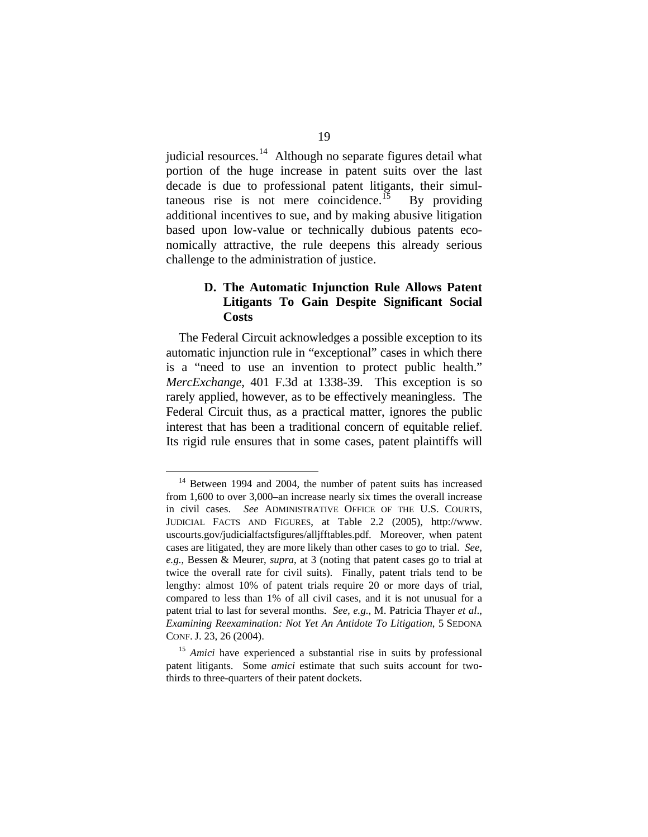judicial resources. $14$  Although no separate figures detail what portion of the huge increase in patent suits over the last decade is due to professional patent litigants, their simul-taneous rise is not mere coincidence.<sup>[15](#page-26-1)</sup> By providing additional incentives to sue, and by making abusive litigation based upon low-value or technically dubious patents economically attractive, the rule deepens this already serious challenge to the administration of justice.

### **D. The Automatic Injunction Rule Allows Patent Litigants To Gain Despite Significant Social Costs**

The Federal Circuit acknowledges a possible exception to its automatic injunction rule in "exceptional" cases in which there is a "need to use an invention to protect public health." *MercExchange*, 401 F.3d at 1338-39. This exception is so rarely applied, however, as to be effectively meaningless. The Federal Circuit thus, as a practical matter, ignores the public interest that has been a traditional concern of equitable relief. Its rigid rule ensures that in some cases, patent plaintiffs will

<span id="page-26-0"></span><sup>&</sup>lt;sup>14</sup> Between 1994 and 2004, the number of patent suits has increased from 1,600 to over 3,000–an increase nearly six times the overall increase in civil cases. *See* ADMINISTRATIVE OFFICE OF THE U.S. COURTS, JUDICIAL FACTS AND FIGURES, at Table 2.2 (2005), http://www. uscourts.gov/judicialfactsfigures/alljfftables.pdf. Moreover, when patent cases are litigated, they are more likely than other cases to go to trial. *See, e.g.*, Bessen & Meurer, *supra*, at 3 (noting that patent cases go to trial at twice the overall rate for civil suits). Finally, patent trials tend to be lengthy: almost 10% of patent trials require 20 or more days of trial, compared to less than 1% of all civil cases, and it is not unusual for a patent trial to last for several months. *See, e.g.*, M. Patricia Thayer *et al*., *Examining Reexamination: Not Yet An Antidote To Litigation*, 5 SEDONA CONF. J. 23, 26 (2004).

<span id="page-26-1"></span><sup>15</sup> *Amici* have experienced a substantial rise in suits by professional patent litigants. Some *amici* estimate that such suits account for twothirds to three-quarters of their patent dockets.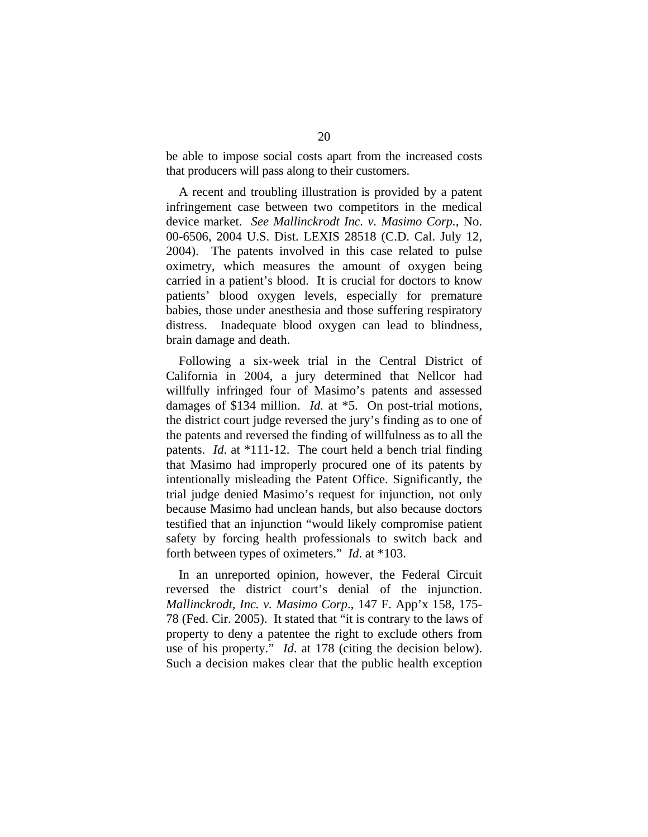be able to impose social costs apart from the increased costs that producers will pass along to their customers.

A recent and troubling illustration is provided by a patent infringement case between two competitors in the medical device market. *See Mallinckrodt Inc. v. Masimo Corp.*, No. 00-6506, 2004 U.S. Dist. LEXIS 28518 (C.D. Cal. July 12, 2004). The patents involved in this case related to pulse oximetry, which measures the amount of oxygen being carried in a patient's blood. It is crucial for doctors to know patients' blood oxygen levels, especially for premature babies, those under anesthesia and those suffering respiratory distress. Inadequate blood oxygen can lead to blindness, brain damage and death.

Following a six-week trial in the Central District of California in 2004, a jury determined that Nellcor had willfully infringed four of Masimo's patents and assessed damages of \$134 million. *Id.* at \*5. On post-trial motions, the district court judge reversed the jury's finding as to one of the patents and reversed the finding of willfulness as to all the patents. *Id*. at \*111-12. The court held a bench trial finding that Masimo had improperly procured one of its patents by intentionally misleading the Patent Office. Significantly, the trial judge denied Masimo's request for injunction, not only because Masimo had unclean hands, but also because doctors testified that an injunction "would likely compromise patient safety by forcing health professionals to switch back and forth between types of oximeters." *Id*. at \*103.

In an unreported opinion, however, the Federal Circuit reversed the district court's denial of the injunction. *Mallinckrodt, Inc. v. Masimo Corp*., 147 F. App'x 158, 175- 78 (Fed. Cir. 2005). It stated that "it is contrary to the laws of property to deny a patentee the right to exclude others from use of his property." *Id*. at 178 (citing the decision below). Such a decision makes clear that the public health exception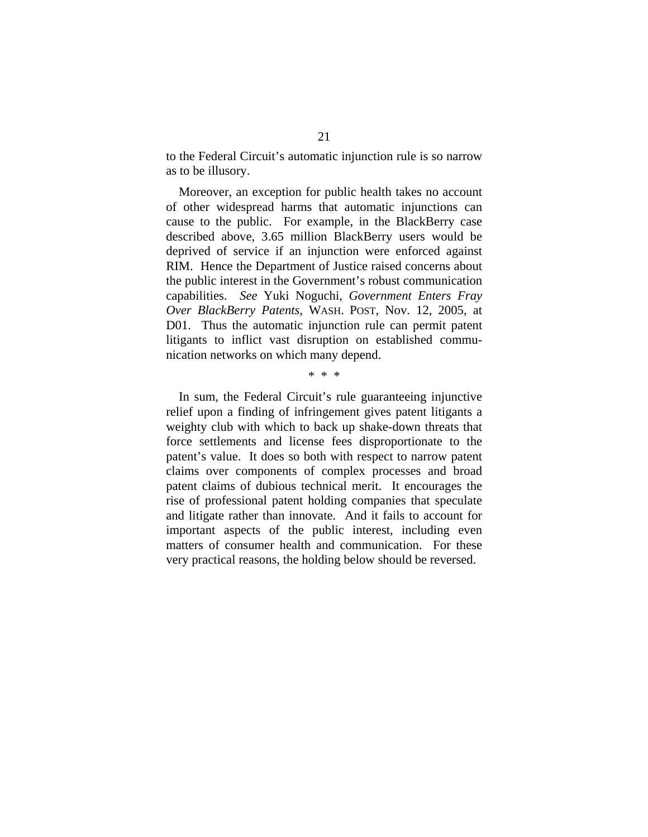to the Federal Circuit's automatic injunction rule is so narrow as to be illusory.

Moreover, an exception for public health takes no account of other widespread harms that automatic injunctions can cause to the public. For example, in the BlackBerry case described above, 3.65 million BlackBerry users would be deprived of service if an injunction were enforced against RIM. Hence the Department of Justice raised concerns about the public interest in the Government's robust communication capabilities. *See* Yuki Noguchi, *Government Enters Fray Over BlackBerry Patents*, WASH. POST, Nov. 12, 2005, at D01. Thus the automatic injunction rule can permit patent litigants to inflict vast disruption on established communication networks on which many depend.

\* \* \*

In sum, the Federal Circuit's rule guaranteeing injunctive relief upon a finding of infringement gives patent litigants a weighty club with which to back up shake-down threats that force settlements and license fees disproportionate to the patent's value. It does so both with respect to narrow patent claims over components of complex processes and broad patent claims of dubious technical merit. It encourages the rise of professional patent holding companies that speculate and litigate rather than innovate. And it fails to account for important aspects of the public interest, including even matters of consumer health and communication. For these very practical reasons, the holding below should be reversed.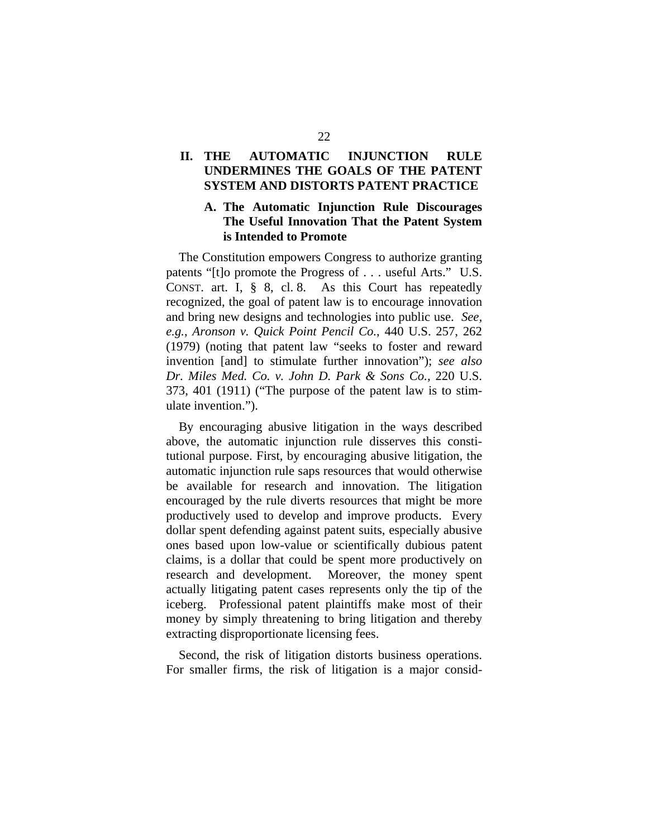## **II. THE AUTOMATIC INJUNCTION RULE UNDERMINES THE GOALS OF THE PATENT SYSTEM AND DISTORTS PATENT PRACTICE**

### **A. The Automatic Injunction Rule Discourages The Useful Innovation That the Patent System is Intended to Promote**

The Constitution empowers Congress to authorize granting patents "[t]o promote the Progress of . . . useful Arts." U.S. CONST. art. I, § 8, cl. 8. As this Court has repeatedly recognized, the goal of patent law is to encourage innovation and bring new designs and technologies into public use. *See, e.g.*, *Aronson v. Quick Point Pencil Co.*, 440 U.S. 257, 262 (1979) (noting that patent law "seeks to foster and reward invention [and] to stimulate further innovation"); *see also Dr. Miles Med. Co. v. John D. Park & Sons Co.*, 220 U.S. 373, 401 (1911) ("The purpose of the patent law is to stimulate invention.").

By encouraging abusive litigation in the ways described above, the automatic injunction rule disserves this constitutional purpose. First, by encouraging abusive litigation, the automatic injunction rule saps resources that would otherwise be available for research and innovation. The litigation encouraged by the rule diverts resources that might be more productively used to develop and improve products. Every dollar spent defending against patent suits, especially abusive ones based upon low-value or scientifically dubious patent claims, is a dollar that could be spent more productively on research and development. Moreover, the money spent actually litigating patent cases represents only the tip of the iceberg. Professional patent plaintiffs make most of their money by simply threatening to bring litigation and thereby extracting disproportionate licensing fees.

Second, the risk of litigation distorts business operations. For smaller firms, the risk of litigation is a major consid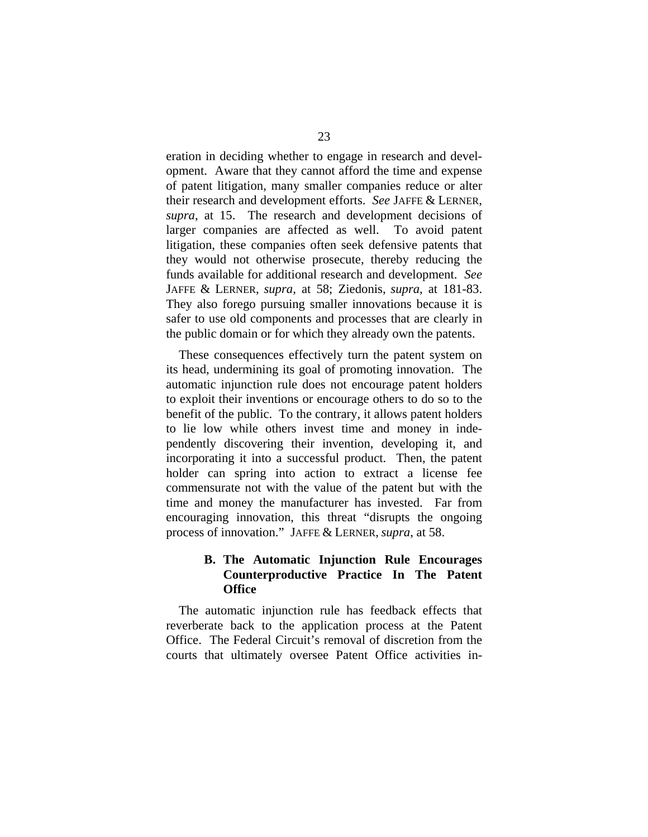eration in deciding whether to engage in research and development. Aware that they cannot afford the time and expense of patent litigation, many smaller companies reduce or alter their research and development efforts. *See* JAFFE & LERNER, *supra*, at 15. The research and development decisions of larger companies are affected as well. To avoid patent litigation, these companies often seek defensive patents that they would not otherwise prosecute, thereby reducing the funds available for additional research and development. *See* JAFFE & LERNER, *supra*, at 58; Ziedonis, *supra*, at 181-83. They also forego pursuing smaller innovations because it is safer to use old components and processes that are clearly in the public domain or for which they already own the patents.

These consequences effectively turn the patent system on its head, undermining its goal of promoting innovation. The automatic injunction rule does not encourage patent holders to exploit their inventions or encourage others to do so to the benefit of the public. To the contrary, it allows patent holders to lie low while others invest time and money in independently discovering their invention, developing it, and incorporating it into a successful product. Then, the patent holder can spring into action to extract a license fee commensurate not with the value of the patent but with the time and money the manufacturer has invested. Far from encouraging innovation, this threat "disrupts the ongoing process of innovation." JAFFE & LERNER, *supra*, at 58.

### **B. The Automatic Injunction Rule Encourages Counterproductive Practice In The Patent Office**

The automatic injunction rule has feedback effects that reverberate back to the application process at the Patent Office. The Federal Circuit's removal of discretion from the courts that ultimately oversee Patent Office activities in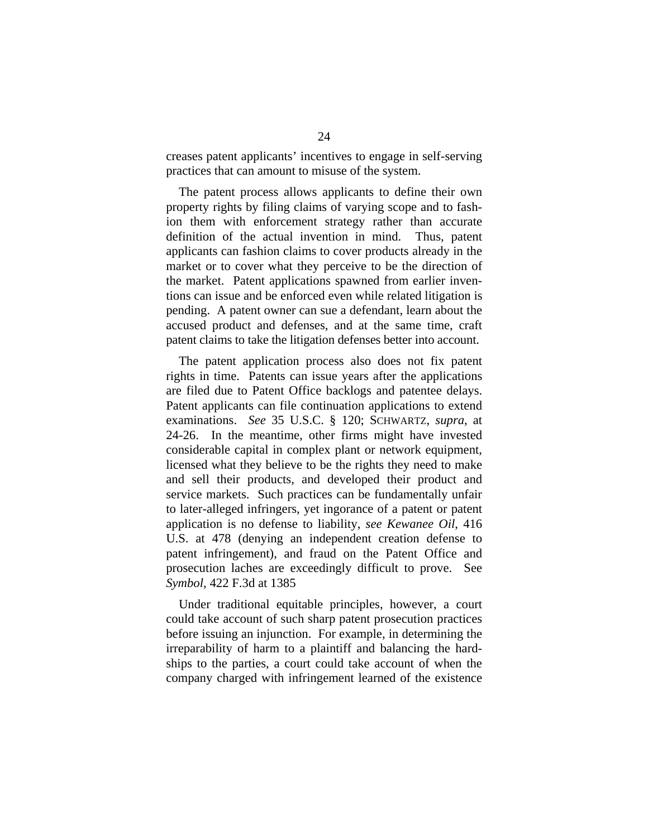creases patent applicants' incentives to engage in self-serving practices that can amount to misuse of the system.

The patent process allows applicants to define their own property rights by filing claims of varying scope and to fashion them with enforcement strategy rather than accurate definition of the actual invention in mind. Thus, patent applicants can fashion claims to cover products already in the market or to cover what they perceive to be the direction of the market. Patent applications spawned from earlier inventions can issue and be enforced even while related litigation is pending. A patent owner can sue a defendant, learn about the accused product and defenses, and at the same time, craft patent claims to take the litigation defenses better into account.

The patent application process also does not fix patent rights in time. Patents can issue years after the applications are filed due to Patent Office backlogs and patentee delays. Patent applicants can file continuation applications to extend examinations. *See* 35 U.S.C. § 120; SCHWARTZ, *supra*, at 24-26. In the meantime, other firms might have invested considerable capital in complex plant or network equipment, licensed what they believe to be the rights they need to make and sell their products, and developed their product and service markets. Such practices can be fundamentally unfair to later-alleged infringers, yet ingorance of a patent or patent application is no defense to liability, *see Kewanee Oil*, 416 U.S. at 478 (denying an independent creation defense to patent infringement), and fraud on the Patent Office and prosecution laches are exceedingly difficult to prove. See *Symbol*, 422 F.3d at 1385

Under traditional equitable principles, however, a court could take account of such sharp patent prosecution practices before issuing an injunction. For example, in determining the irreparability of harm to a plaintiff and balancing the hardships to the parties, a court could take account of when the company charged with infringement learned of the existence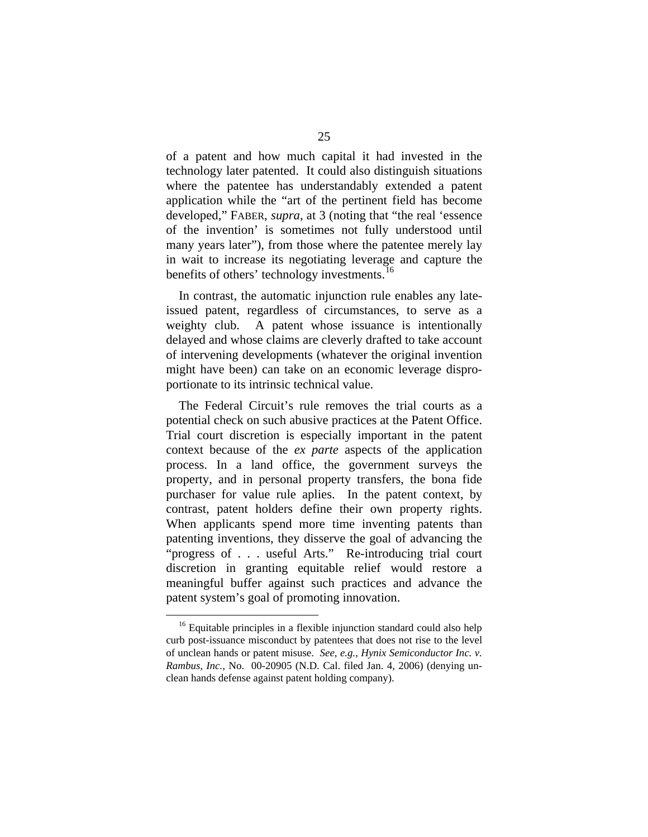of a patent and how much capital it had invested in the technology later patented. It could also distinguish situations where the patentee has understandably extended a patent application while the "art of the pertinent field has become developed," FABER, *supra*, at 3 (noting that "the real 'essence of the invention' is sometimes not fully understood until many years later"), from those where the patentee merely lay in wait to increase its negotiating leverage and capture the benefits of others' technology investments.<sup>[16](#page-32-0)</sup>

In contrast, the automatic injunction rule enables any lateissued patent, regardless of circumstances, to serve as a weighty club. A patent whose issuance is intentionally delayed and whose claims are cleverly drafted to take account of intervening developments (whatever the original invention might have been) can take on an economic leverage disproportionate to its intrinsic technical value.

The Federal Circuit's rule removes the trial courts as a potential check on such abusive practices at the Patent Office. Trial court discretion is especially important in the patent context because of the *ex parte* aspects of the application process. In a land office, the government surveys the property, and in personal property transfers, the bona fide purchaser for value rule aplies. In the patent context, by contrast, patent holders define their own property rights. When applicants spend more time inventing patents than patenting inventions, they disserve the goal of advancing the "progress of . . . useful Arts." Re-introducing trial court discretion in granting equitable relief would restore a meaningful buffer against such practices and advance the patent system's goal of promoting innovation.

<span id="page-32-0"></span><sup>&</sup>lt;sup>16</sup> Equitable principles in a flexible injunction standard could also help curb post-issuance misconduct by patentees that does not rise to the level of unclean hands or patent misuse. *See, e.g.*, *Hynix Semiconductor Inc. v. Rambus, Inc.*, No. 00-20905 (N.D. Cal. filed Jan. 4, 2006) (denying unclean hands defense against patent holding company).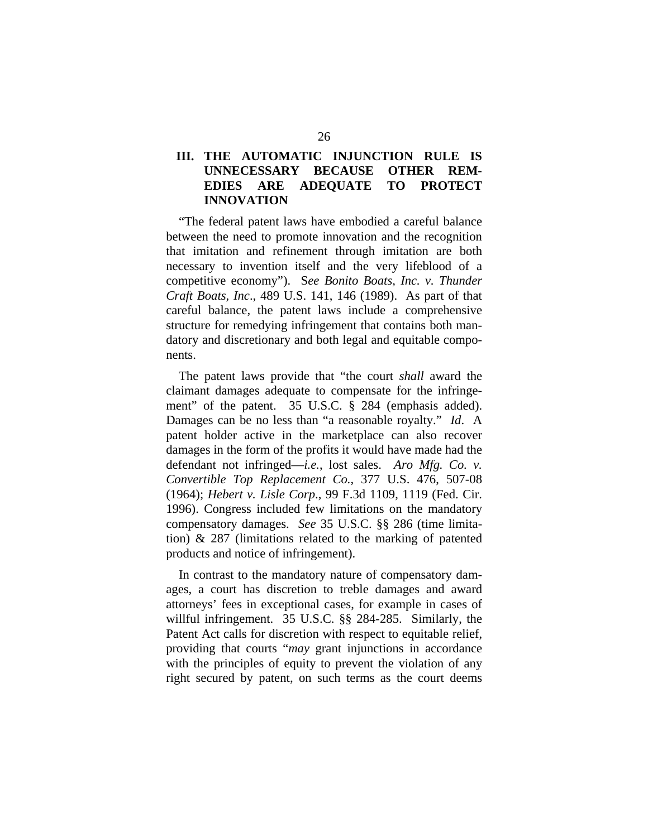## **III. THE AUTOMATIC INJUNCTION RULE IS UNNECESSARY BECAUSE OTHER REM-EDIES ARE ADEQUATE TO PROTECT INNOVATION**

"The federal patent laws have embodied a careful balance between the need to promote innovation and the recognition that imitation and refinement through imitation are both necessary to invention itself and the very lifeblood of a competitive economy"). S*ee Bonito Boats, Inc. v. Thunder Craft Boats, Inc*., 489 U.S. 141, 146 (1989). As part of that careful balance, the patent laws include a comprehensive structure for remedying infringement that contains both mandatory and discretionary and both legal and equitable components.

The patent laws provide that "the court *shall* award the claimant damages adequate to compensate for the infringement" of the patent. 35 U.S.C. § 284 (emphasis added). Damages can be no less than "a reasonable royalty." *Id*. A patent holder active in the marketplace can also recover damages in the form of the profits it would have made had the defendant not infringed—*i.e.*, lost sales. *Aro Mfg. Co. v. Convertible Top Replacement Co.*, 377 U.S. 476, 507-08 (1964); *Hebert v. Lisle Corp*., 99 F.3d 1109, 1119 (Fed. Cir. 1996). Congress included few limitations on the mandatory compensatory damages. *See* 35 U.S.C. §§ 286 (time limitation) & 287 (limitations related to the marking of patented products and notice of infringement).

In contrast to the mandatory nature of compensatory damages, a court has discretion to treble damages and award attorneys' fees in exceptional cases, for example in cases of willful infringement. 35 U.S.C. §§ 284-285. Similarly, the Patent Act calls for discretion with respect to equitable relief, providing that courts "*may* grant injunctions in accordance with the principles of equity to prevent the violation of any right secured by patent, on such terms as the court deems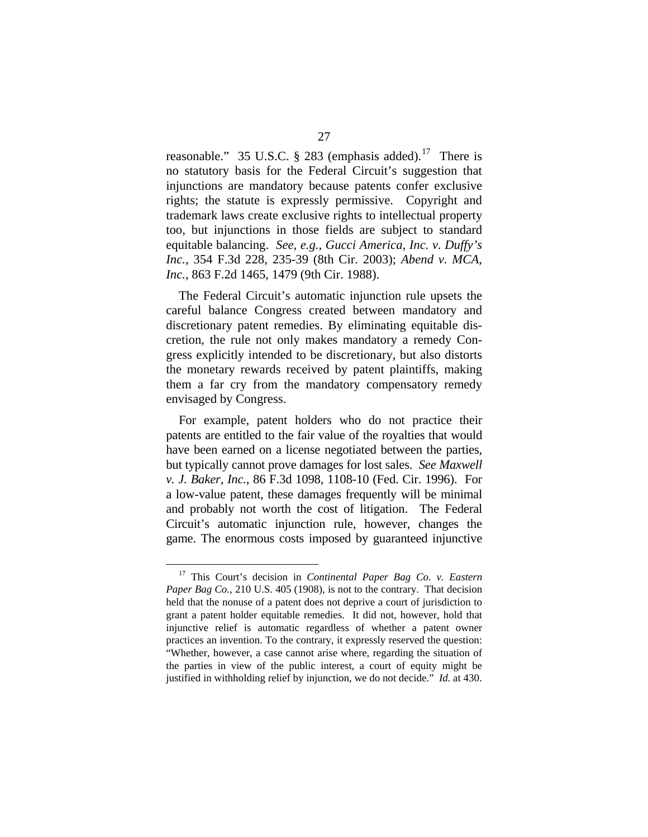reasonable." 35 U.S.C. § 283 (emphasis added).<sup>[17](#page-34-0)</sup> There is no statutory basis for the Federal Circuit's suggestion that injunctions are mandatory because patents confer exclusive rights; the statute is expressly permissive. Copyright and trademark laws create exclusive rights to intellectual property too, but injunctions in those fields are subject to standard equitable balancing. *See, e.g.*, *Gucci America, Inc. v. Duffy's Inc.*, 354 F.3d 228, 235-39 (8th Cir. 2003); *Abend v. MCA, Inc.*, 863 F.2d 1465, 1479 (9th Cir. 1988).

The Federal Circuit's automatic injunction rule upsets the careful balance Congress created between mandatory and discretionary patent remedies. By eliminating equitable discretion, the rule not only makes mandatory a remedy Congress explicitly intended to be discretionary, but also distorts the monetary rewards received by patent plaintiffs, making them a far cry from the mandatory compensatory remedy envisaged by Congress.

For example, patent holders who do not practice their patents are entitled to the fair value of the royalties that would have been earned on a license negotiated between the parties, but typically cannot prove damages for lost sales. *See Maxwell v. J. Baker, Inc.*, 86 F.3d 1098, 1108-10 (Fed. Cir. 1996). For a low-value patent, these damages frequently will be minimal and probably not worth the cost of litigation. The Federal Circuit's automatic injunction rule, however, changes the game. The enormous costs imposed by guaranteed injunctive

<span id="page-34-0"></span> <sup>17</sup> This Court's decision in *Continental Paper Bag Co. v. Eastern Paper Bag Co.*, 210 U.S. 405 (1908), is not to the contrary. That decision held that the nonuse of a patent does not deprive a court of jurisdiction to grant a patent holder equitable remedies. It did not, however, hold that injunctive relief is automatic regardless of whether a patent owner practices an invention. To the contrary, it expressly reserved the question: "Whether, however, a case cannot arise where, regarding the situation of the parties in view of the public interest, a court of equity might be justified in withholding relief by injunction, we do not decide." *Id.* at 430.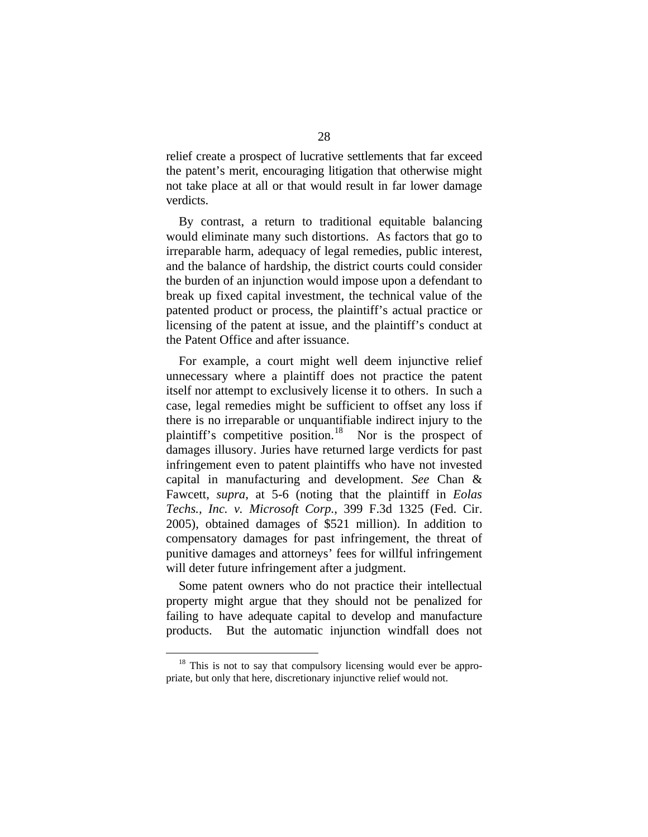relief create a prospect of lucrative settlements that far exceed the patent's merit, encouraging litigation that otherwise might not take place at all or that would result in far lower damage verdicts.

By contrast, a return to traditional equitable balancing would eliminate many such distortions. As factors that go to irreparable harm, adequacy of legal remedies, public interest, and the balance of hardship, the district courts could consider the burden of an injunction would impose upon a defendant to break up fixed capital investment, the technical value of the patented product or process, the plaintiff's actual practice or licensing of the patent at issue, and the plaintiff's conduct at the Patent Office and after issuance.

For example, a court might well deem injunctive relief unnecessary where a plaintiff does not practice the patent itself nor attempt to exclusively license it to others. In such a case, legal remedies might be sufficient to offset any loss if there is no irreparable or unquantifiable indirect injury to the plaintiff's competitive position.<sup>[18](#page-35-0)</sup> Nor is the prospect of damages illusory. Juries have returned large verdicts for past infringement even to patent plaintiffs who have not invested capital in manufacturing and development. *See* Chan & Fawcett, *supra*, at 5-6 (noting that the plaintiff in *Eolas Techs., Inc. v. Microsoft Corp.*, 399 F.3d 1325 (Fed. Cir. 2005), obtained damages of \$521 million). In addition to compensatory damages for past infringement, the threat of punitive damages and attorneys' fees for willful infringement will deter future infringement after a judgment.

Some patent owners who do not practice their intellectual property might argue that they should not be penalized for failing to have adequate capital to develop and manufacture products. But the automatic injunction windfall does not

<span id="page-35-0"></span><sup>&</sup>lt;sup>18</sup> This is not to say that compulsory licensing would ever be appropriate, but only that here, discretionary injunctive relief would not.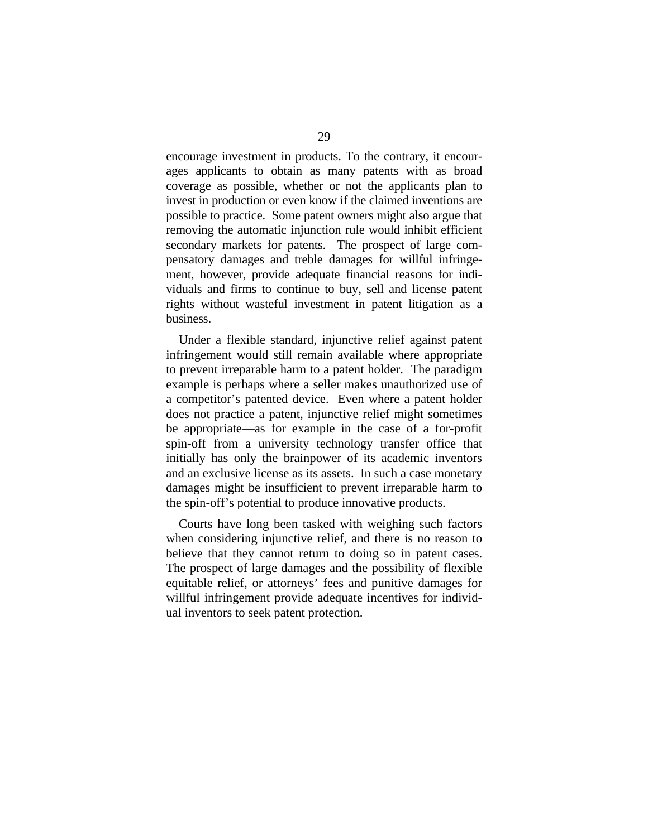encourage investment in products. To the contrary, it encourages applicants to obtain as many patents with as broad coverage as possible, whether or not the applicants plan to invest in production or even know if the claimed inventions are possible to practice. Some patent owners might also argue that removing the automatic injunction rule would inhibit efficient secondary markets for patents. The prospect of large compensatory damages and treble damages for willful infringement, however, provide adequate financial reasons for individuals and firms to continue to buy, sell and license patent rights without wasteful investment in patent litigation as a business.

Under a flexible standard, injunctive relief against patent infringement would still remain available where appropriate to prevent irreparable harm to a patent holder. The paradigm example is perhaps where a seller makes unauthorized use of a competitor's patented device. Even where a patent holder does not practice a patent, injunctive relief might sometimes be appropriate—as for example in the case of a for-profit spin-off from a university technology transfer office that initially has only the brainpower of its academic inventors and an exclusive license as its assets. In such a case monetary damages might be insufficient to prevent irreparable harm to the spin-off's potential to produce innovative products.

Courts have long been tasked with weighing such factors when considering injunctive relief, and there is no reason to believe that they cannot return to doing so in patent cases. The prospect of large damages and the possibility of flexible equitable relief, or attorneys' fees and punitive damages for willful infringement provide adequate incentives for individual inventors to seek patent protection.